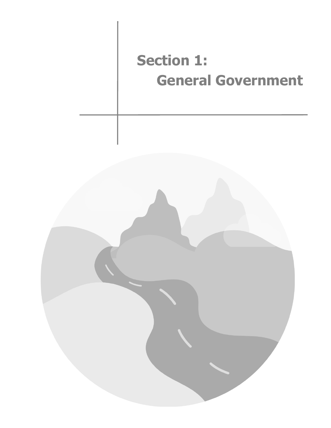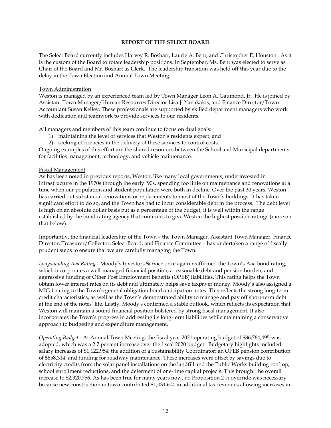#### **REPORT OF THE SELECT BOARD**

The Select Board currently includes Harvey R. Boshart, Laurie A. Bent, and Christopher E. Houston. As it is the custom of the Board to rotate leadership positions. In September, Ms. Bent was elected to serve as Chair of the Board and Mr. Boshart as Clerk. The leadership transition was held off this year due to the delay in the Town Election and Annual Town Meeting.

#### Town Administration

Weston is managed by an experienced team led by Town Manager Leon A. Gaumond, Jr. He is joined by Assistant Town Manager/Human Resources Director Lisa J. Yanakakis, and Finance Director/Town Accountant Susan Kelley. These professionals are supported by skilled department managers who work with dedication and teamwork to provide services to our residents.

All managers and members of this team continue to focus on dual goals:

- 1) maintaining the level of services that Weston's residents expect; and
- 2) seeking efficiencies in the delivery of these services to control costs.

Ongoing examples of this effort are the shared resources between the School and Municipal departments for facilities management, technology, and vehicle maintenance.

#### Fiscal Management

As has been noted in previous reports, Weston, like many local governments, underinvested in infrastructure in the 1970s through the early '90s, spending too little on maintenance and renovations at a time when our population and student population were both in decline. Over the past 30 years, Weston has carried out substantial renovations or replacements to most of the Town's buildings. It has taken significant effort to do so, and the Town has had to incur considerable debt in the process. The debt level is high on an absolute dollar basis but as a percentage of the budget, it is well within the range established by the bond rating agency that continues to give Weston the highest possible ratings (more on that below).

Importantly, the financial leadership of the Town – the Town Manager, Assistant Town Manager, Finance Director, Treasurer/Collector, Select Board, and Finance Committee – has undertaken a range of fiscally prudent steps to ensure that we are carefully managing the Town.

*Longstanding Aaa Rating* - Moody's Investors Service once again reaffirmed the Town's Aaa bond rating, which incorporates a well-managed financial position, a reasonable debt and pension burden, and aggressive funding of Other Post Employment Benefits (OPEB) liabilities. This rating helps the Town obtain lower interest rates on its debt and ultimately helps save taxpayer money. Moody's also assigned a MIG 1 rating to the Town's general obligation bond anticipation notes. This reflects the strong long-term credit characteristics, as well as the Town's demonstrated ability to manage and pay off short-term debt at the end of the notes' life. Lastly, Moody's confirmed a stable outlook, which reflects its expectation that Weston will maintain a sound financial position bolstered by strong fiscal management. It also incorporates the Town's progress in addressing its long-term liabilities while maintaining a conservative approach to budgeting and expenditure management.

*Operating Budget* - At Annual Town Meeting, the fiscal year 2021 operating budget of \$86,764,495 was adopted, which was a 2.7 percent increase over the fiscal 2020 budget. Budgetary highlights included salary increases of \$1,122,954; the addition of a Sustainability Coordinator; an OPEB pension contribution of \$658,314; and funding for roadway maintenance. These increases were offset by savings due to electricity credits from the solar panel installations on the landfill and the Public Works building rooftop, school enrollment reductions, and the deferment of one-time capital projects. This brought the overall increase to \$2,320,756. As has been true for many years now, no Proposition 2 ½ override was necessary because new construction in town contributed \$1,031,604 in additional tax revenues allowing increases in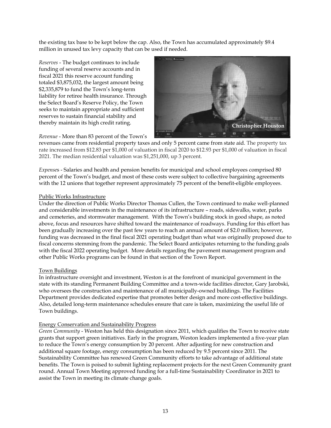the existing tax base to be kept below the cap. Also, the Town has accumulated approximately \$9.4 million in unused tax levy capacity that can be used if needed.

*Reserves* - The budget continues to include funding of several reserve accounts and in fiscal 2021 this reserve account funding totaled \$3,875,032, the largest amount being \$2,335,879 to fund the Town's long-term liability for retiree health insurance. Through the Select Board's Reserve Policy, the Town seeks to maintain appropriate and sufficient reserves to sustain financial stability and thereby maintain its high credit rating.



*Revenue* - More than 83 percent of the Town's

revenues came from residential property taxes and only 5 percent came from state aid. The property tax rate increased from \$12.83 per \$1,000 of valuation in fiscal 2020 to \$12.93 per \$1,000 of valuation in fiscal 2021. The median residential valuation was \$1,251,000, up 3 percent.

*Expense*s - Salaries and health and pension benefits for municipal and school employees comprised 80 percent of the Town's budget, and most of these costs were subject to collective bargaining agreements with the 12 unions that together represent approximately 75 percent of the benefit-eligible employees.

### Public Works Infrastructure

Under the direction of Public Works Director Thomas Cullen, the Town continued to make well-planned and considerable investments in the maintenance of its infrastructure – roads, sidewalks, water, parks and cemeteries, and stormwater management. With the Town's building stock in good shape, as noted above, focus and resources have shifted toward the maintenance of roadways. Funding for this effort has been gradually increasing over the past few years to reach an annual amount of \$2.0 million; however, funding was decreased in the final fiscal 2021 operating budget than what was originally proposed due to fiscal concerns stemming from the pandemic. The Select Board anticipates returning to the funding goals with the fiscal 2022 operating budget. More details regarding the pavement management program and other Public Works programs can be found in that section of the Town Report.

#### Town Buildings

In infrastructure oversight and investment, Weston is at the forefront of municipal government in the state with its standing Permanent Building Committee and a town-wide facilities director, Gary Jarobski, who oversees the construction and maintenance of all municipally-owned buildings. The Facilities Department provides dedicated expertise that promotes better design and more cost-effective buildings. Also, detailed long-term maintenance schedules ensure that care is taken, maximizing the useful life of Town buildings.

# Energy Conservation and Sustainability Progress

*Green Community* - Weston has held this designation since 2011, which qualifies the Town to receive state grants that support green initiatives. Early in the program, Weston leaders implemented a five-year plan to reduce the Town's energy consumption by 20 percent. After adjusting for new construction and additional square footage, energy consumption has been reduced by 9.5 percent since 2011. The Sustainability Committee has renewed Green Community efforts to take advantage of additional state benefits. The Town is poised to submit lighting replacement projects for the next Green Community grant round. Annual Town Meeting approved funding for a full-time Sustainability Coordinator in 2021 to assist the Town in meeting its climate change goals.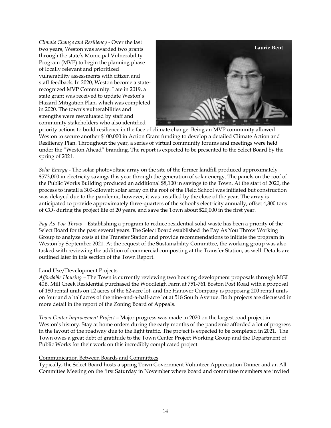*Climate Change and Resiliency* - Over the last two years, Weston was awarded two grants through the state's Municipal Vulnerability Program (MVP) to begin the planning phase of locally relevant and prioritized vulnerability assessments with citizen and staff feedback. In 2020, Weston become a staterecognized MVP Community. Late in 2019, a state grant was received to update Weston's Hazard Mitigation Plan, which was completed in 2020. The town's vulnerabilities and strengths were reevaluated by staff and community stakeholders who also identified



priority actions to build resilience in the face of climate change. Being an MVP community allowed Weston to secure another \$100,000 in Action Grant funding to develop a detailed Climate Action and Resiliency Plan. Throughout the year, a series of virtual community forums and meetings were held under the "Weston Ahead" branding. The report is expected to be presented to the Select Board by the spring of 2021.

*Solar Energy* - The solar photovoltaic array on the site of the former landfill produced approximately \$573,000 in electricity savings this year through the generation of solar energy. The panels on the roof of the Public Works Building produced an additional \$8,100 in savings to the Town. At the start of 2020, the process to install a 300-kilowatt solar array on the roof of the Field School was initiated but construction was delayed due to the pandemic; however, it was installed by the close of the year. The array is anticipated to provide approximately three-quarters of the school's electricity annually, offset 4,800 tons of CO<sup>2</sup> during the project life of 20 years, and save the Town about \$20,000 in the first year.

*Pay-As-You-Throw –* Establishing a program to reduce residential solid waste has been a priority of the Select Board for the past several years. The Select Board established the Pay As You Throw Working Group to analyze costs at the Transfer Station and provide recommendations to initiate the program in Weston by September 2021. At the request of the Sustainability Committee, the working group was also tasked with reviewing the addition of commercial composting at the Transfer Station, as well. Details are outlined later in this section of the Town Report.

#### Land Use/Development Projects

*Affordable Housing –* The Town is currently reviewing two housing development proposals through MGL 40B. Mill Creek Residential purchased the Woodleigh Farm at 751-761 Boston Post Road with a proposal of 180 rental units on 12 acres of the 62-acre lot, and the Hanover Company is proposing 200 rental units on four and a half acres of the nine-and-a-half-acre lot at 518 South Avenue. Both projects are discussed in more detail in the report of the Zoning Board of Appeals.

*Town Center Improvement Project* – Major progress was made in 2020 on the largest road project in Weston's history. Stay at home orders during the early months of the pandemic afforded a lot of progress in the layout of the roadway due to the light traffic. The project is expected to be completed in 2021. The Town owes a great debt of gratitude to the Town Center Project Working Group and the Department of Public Works for their work on this incredibly complicated project.

#### Communication Between Boards and Committees

Typically, the Select Board hosts a spring Town Government Volunteer Appreciation Dinner and an All Committee Meeting on the first Saturday in November where board and committee members are invited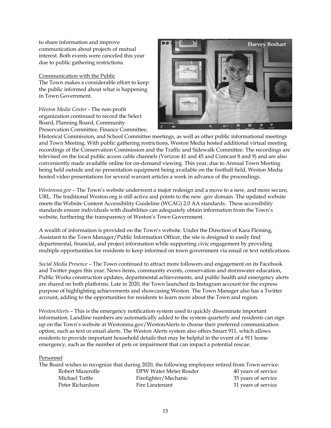to share information and improve communication about projects of mutual interest. Both events were canceled this year due to public gathering restrictions.

Communication with the Public The Town makes a considerable effort to keep the public informed about what is happening in Town Government.

*Weston Media Center* - The non-profit organization continued to record the Select Board, Planning Board, Community Preservation Committee, Finance Committee,



Historical Commission, and School Committee meetings, as well as other public informational meetings and Town Meeting. With public gathering restrictions, Weston Media hosted additional virtual meeting recordings of the Conservation Commission and the Traffic and Sidewalk Committee. The recordings are televised on the local public access cable channels (Verizon 41 and 45 and Comcast 8 and 9) and are also conveniently made available online for on-demand viewing. This year, due to Annual Town Meeting being held outside and no presentation equipment being available on the football field, Weston Media hosted video presentations for several warrant articles a week in advance of the proceedings.

*Westonma.gov* – The Town's website underwent a major redesign and a move to a new, and more secure, URL. The traditional Weston.org is still active and points to the new .gov domain. The updated website meets the Website Content Accessibility Guideline (WCAG) 2.0 AA standards. These accessibility standards ensure individuals with disabilities can adequately obtain information from the Town's website, furthering the transparency of Weston's Town Government.

A wealth of information is provided on the Town's website. Under the Direction of Kara Fleming, Assistant to the Town Manager/Public Information Officer, the site is designed to easily find departmental, financial, and project information while supporting civic engagement by providing multiple opportunities for residents to keep informed on town government via email or text notifications.

*Social Media Presence* – The Town continued to attract more followers and engagement on its Facebook and Twitter pages this year. News items, community events, conservation and stormwater education, Public Works construction updates, departmental achievements, and public health and emergency alerts are shared on both platforms. Late in 2020, the Town launched its Instagram account for the express purpose of highlighting achievements and showcasing Weston. The Town Manager also has a Twitter account, adding to the opportunities for residents to learn more about the Town and region.

*WestonAlerts* – This is the emergency notification system used to quickly disseminate important information. Landline numbers are automatically added to the system quarterly and residents can sign up on the Town's website at Westonma.gov/WestonAlerts to choose their preferred communication option, such as text or email alerts. The Weston Alerts system also offers Smart 911, which allows residents to provide important household details that may be helpful in the event of a 911 home emergency, such as the number of pets or impairment that can impact a potential rescue.

Personnel

|                  | The Board wishes to recognize that during 2020, the following employees retired from Town service: |                     |
|------------------|----------------------------------------------------------------------------------------------------|---------------------|
| Robert Mazerolle | DPW Water Meter Reader                                                                             | 40 years of service |
| Michael Tuttle   | Firefighter/Mechanic                                                                               | 35 years of service |
| Peter Richardson | Fire Lieutenant                                                                                    | 31 years of service |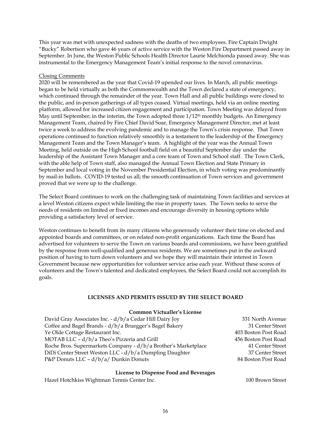This year was met with unexpected sadness with the deaths of two employees. Fire Captain Dwight "Bucky" Robertson who gave 46 years of active service with the Weston Fire Department passed away in September. In June, the Weston Public Schools Health Director Laurie Melchionda passed away. She was instrumental to the Emergency Management Team's initial response to the novel coronavirus.

#### Closing Comments

2020 will be remembered as the year that Covid-19 upended our lives. In March, all public meetings began to be held virtually as both the Commonwealth and the Town declared a state of emergency, which continued through the remainder of the year. Town Hall and all public buildings were closed to the public, and in-person gatherings of all types ceased. Virtual meetings, held via an online meeting platform, allowed for increased citizen engagement and participation. Town Meeting was delayed from May until September; in the interim, the Town adopted three  $1/12<sup>th</sup>$  monthly budgets. An Emergency Management Team, chaired by Fire Chief David Soar, Emergency Management Director, met at least twice a week to address the evolving pandemic and to manage the Town's crisis response. That Town operations continued to function relatively smoothly is a testament to the leadership of the Emergency Management Team and the Town Manager's team. A highlight of the year was the Annual Town Meeting, held outside on the High School football field on a beautiful September day under the leadership of the Assistant Town Manager and a core team of Town and School staff. The Town Clerk, with the able help of Town staff, also managed the Annual Town Election and State Primary in September and local voting in the November Presidential Election, in which voting was predominantly by mail-in ballots. COVID-19 tested us all; the smooth continuation of Town services and government proved that we were up to the challenge.

The Select Board continues to work on the challenging task of maintaining Town facilities and services at a level Weston citizens expect while limiting the rise in property taxes. The Town seeks to serve the needs of residents on limited or fixed incomes and encourage diversity in housing options while providing a satisfactory level of service.

Weston continues to benefit from its many citizens who generously volunteer their time on elected and appointed boards and committees, or on related non-profit organizations. Each time the Board has advertised for volunteers to serve the Town on various boards and commissions, we have been gratified by the response from well-qualified and generous residents. We are sometimes put in the awkward position of having to turn down volunteers and we hope they will maintain their interest in Town Government because new opportunities for volunteer service arise each year. Without these scores of volunteers and the Town's talented and dedicated employees, the Select Board could not accomplish its goals.

# **LICENSES AND PERMITS ISSUED BY THE SELECT BOARD**

| <b>Common Victualler's License</b>                             |                      |
|----------------------------------------------------------------|----------------------|
| David Gray Associates Inc. - d/b/a Cedar Hill Dairy Joy        | 331 North Avenue     |
| Coffee and Bagel Brands - d/b/a Bruegger's Bagel Bakery        | 31 Center Street     |
| Ye Olde Cottage Restaurant Inc.                                | 403 Boston Post Road |
| MOTAB LLC - d/b/a Theo's Pizzeria and Grill                    | 456 Boston Post Road |
| Roche Bros. Supermarkets Company - d/b/a Brother's Marketplace | 41 Center Street     |
| DiDi Center Street Weston LLC - d/b/a Dumpling Daughter        | 37 Center Street     |
| P&P Donuts LLC $- d/b/a/D$ unkin Donuts                        | 84 Boston Post Road  |

#### **License to Dispense Food and Beverages**

Hazel Hotchkiss Wightman Tennis Center Inc. 100 Brown Street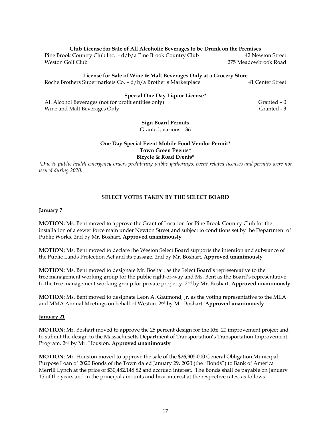#### **Club License for Sale of All Alcoholic Beverages to be Drunk on the Premises**

Pine Brook Country Club Inc. - d/b/a Pine Brook Country Club 42 Newton Street Weston Golf Club 275 Meadowbrook Road

# **License for Sale of Wine & Malt Beverages Only at a Grocery Store**

Roche Brothers Supermarkets Co. - d/b/a Brother's Marketplace 41 Center Street

## **Special One Day Liquor License\***

All Alcohol Beverages (not for profit entities only) Granted – 0 Wine and Malt Beverages Only Granted - 3

# **Sign Board Permits**

Granted, various --36

## **One Day Special Event Mobile Food Vendor Permit\* Town Green Events\* Bicycle & Road Events\***

*\*Due to public health emergency orders prohibiting public gatherings, event-related licenses and permits were not issued during 2020.*

# **SELECT VOTES TAKEN BY THE SELECT BOARD**

### **January 7**

**MOTION:** Ms. Bent moved to approve the Grant of Location for Pine Brook Country Club for the installation of a sewer force main under Newton Street and subject to conditions set by the Department of Public Works. 2nd by Mr. Boshart. **Approved unanimously**

**MOTION:** Ms. Bent moved to declare the Weston Select Board supports the intention and substance of the Public Lands Protection Act and its passage. 2nd by Mr. Boshart. **Approved unanimously**

**MOTION**: Ms. Bent moved to designate Mr. Boshart as the Select Board's representative to the tree management working group for the public right-of-way and Ms. Bent as the Board's representative to the tree management working group for private property. 2nd by Mr. Boshart. **Approved unanimously**

**MOTION**: Ms. Bent moved to designate Leon A. Gaumond, Jr. as the voting representative to the MIIA and MMA Annual Meetings on behalf of Weston. 2nd by Mr. Boshart. **Approved unanimously**

#### **January 21**

**MOTION**: Mr. Boshart moved to approve the 25 percent design for the Rte. 20 improvement project and to submit the design to the Massachusetts Department of Transportation's Transportation Improvement Program. 2nd by Mr. Houston. **Approved unanimously**

**MOTION**: Mr. Houston moved to approve the sale of the \$26,905,000 General Obligation Municipal Purpose Loan of 2020 Bonds of the Town dated January 29, 2020 (the "Bonds") to Bank of America Merrill Lynch at the price of \$30,482,148.82 and accrued interest. The Bonds shall be payable on January 15 of the years and in the principal amounts and bear interest at the respective rates, as follows: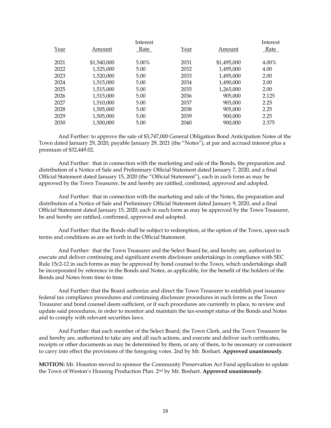|      |             | Interest |      |             | Interest |
|------|-------------|----------|------|-------------|----------|
| Year | Amount      | Rate     | Year | Amount      | Rate     |
|      |             |          |      |             |          |
| 2021 | \$1,540,000 | 5.00%    | 2031 | \$1,495,000 | 4.00%    |
| 2022 | 1,525,000   | 5.00     | 2032 | 1,495,000   | 4.00     |
| 2023 | 1,520,000   | 5.00     | 2033 | 1,495,000   | 2.00     |
| 2024 | 1,515,000   | 5.00     | 2034 | 1,490,000   | 2.00     |
| 2025 | 1,515,000   | 5.00     | 2035 | 1,265,000   | 2.00     |
| 2026 | 1,515,000   | 5.00     | 2036 | 905,000     | 2.125    |
| 2027 | 1,510,000   | 5.00     | 2037 | 905,000     | 2.25     |
| 2028 | 1,505,000   | 5.00     | 2038 | 905,000     | 2.25     |
| 2029 | 1,505,000   | 5.00     | 2039 | 900,000     | 2.25     |
| 2030 | 1,500,000   | 5.00     | 2040 | 900.000     | 2.375    |

And Further: to approve the sale of \$3,747,000 General Obligation Bond Anticipation Notes of the Town dated January 29, 2020, payable January 29, 2021 (the "Notes"), at par and accrued interest plus a premium of \$32,449.02.

And Further: that in connection with the marketing and sale of the Bonds, the preparation and distribution of a Notice of Sale and Preliminary Official Statement dated January 7, 2020, and a final Official Statement dated January 15, 2020 (the "Official Statement"), each in such form as may be approved by the Town Treasurer, be and hereby are ratified, confirmed, approved and adopted.

And Further: that in connection with the marketing and sale of the Notes, the preparation and distribution of a Notice of Sale and Preliminary Official Statement dated January 9, 2020, and a final Official Statement dated January 15, 2020, each in such form as may be approved by the Town Treasurer, be and hereby are ratified, confirmed, approved and adopted.

And Further: that the Bonds shall be subject to redemption, at the option of the Town, upon such terms and conditions as are set forth in the Official Statement.

And Further: that the Town Treasurer and the Select Board be, and hereby are, authorized to execute and deliver continuing and significant events disclosure undertakings in compliance with SEC Rule 15c2-12 in such forms as may be approved by bond counsel to the Town, which undertakings shall be incorporated by reference in the Bonds and Notes, as applicable, for the benefit of the holders of the Bonds and Notes from time to time.

And Further: that the Board authorize and direct the Town Treasurer to establish post issuance federal tax compliance procedures and continuing disclosure procedures in such forms as the Town Treasurer and bond counsel deem sufficient, or if such procedures are currently in place, to review and update said procedures, in order to monitor and maintain the tax-exempt status of the Bonds and Notes and to comply with relevant securities laws.

And Further: that each member of the Select Board, the Town Clerk, and the Town Treasurer be and hereby are, authorized to take any and all such actions, and execute and deliver such certificates, receipts or other documents as may be determined by them, or any of them, to be necessary or convenient to carry into effect the provisions of the foregoing votes. 2nd by Mr. Boshart. **Approved unanimously**.

**MOTION:** Mr. Houston moved to sponsor the Community Preservation Act Fund application to update the Town of Weston's Housing Production Plan. 2nd by Mr. Boshart. **Approved unanimously**.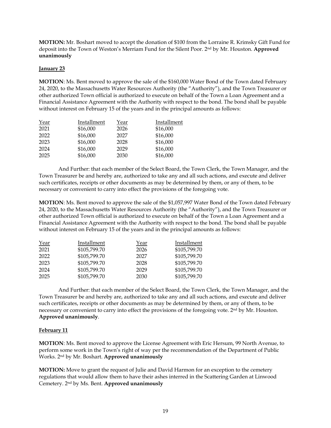**MOTION:** Mr. Boshart moved to accept the donation of \$100 from the Lorraine R. Krimsky Gift Fund for deposit into the Town of Weston's Merriam Fund for the Silent Poor. 2nd by Mr. Houston. **Approved unanimously**

#### **January 23**

**MOTION**: Ms. Bent moved to approve the sale of the \$160,000 Water Bond of the Town dated February 24, 2020, to the Massachusetts Water Resources Authority (the "Authority"), and the Town Treasurer or other authorized Town official is authorized to execute on behalf of the Town a Loan Agreement and a Financial Assistance Agreement with the Authority with respect to the bond. The bond shall be payable without interest on February 15 of the years and in the principal amounts as follows:

| Year | Installment | Year | Installment |
|------|-------------|------|-------------|
| 2021 | \$16,000    | 2026 | \$16,000    |
| 2022 | \$16,000    | 2027 | \$16,000    |
| 2023 | \$16,000    | 2028 | \$16,000    |
| 2024 | \$16,000    | 2029 | \$16,000    |
| 2025 | \$16,000    | 2030 | \$16,000    |

And Further: that each member of the Select Board, the Town Clerk, the Town Manager, and the Town Treasurer be and hereby are, authorized to take any and all such actions, and execute and deliver such certificates, receipts or other documents as may be determined by them, or any of them, to be necessary or convenient to carry into effect the provisions of the foregoing vote.

**MOTION**: Ms. Bent moved to approve the sale of the \$1,057,997 Water Bond of the Town dated February 24, 2020, to the Massachusetts Water Resources Authority (the "Authority"), and the Town Treasurer or other authorized Town official is authorized to execute on behalf of the Town a Loan Agreement and a Financial Assistance Agreement with the Authority with respect to the bond. The bond shall be payable without interest on February 15 of the years and in the principal amounts as follows:

| Year | Installment  | Year | Installment  |
|------|--------------|------|--------------|
| 2021 | \$105,799.70 | 2026 | \$105,799.70 |
| 2022 | \$105,799.70 | 2027 | \$105,799.70 |
| 2023 | \$105,799.70 | 2028 | \$105,799.70 |
| 2024 | \$105,799.70 | 2029 | \$105,799.70 |
| 2025 | \$105,799.70 | 2030 | \$105,799.70 |

And Further: that each member of the Select Board, the Town Clerk, the Town Manager, and the Town Treasurer be and hereby are, authorized to take any and all such actions, and execute and deliver such certificates, receipts or other documents as may be determined by them, or any of them, to be necessary or convenient to carry into effect the provisions of the foregoing vote. 2<sup>nd</sup> by Mr. Houston. **Approved unanimously**.

# **February 11**

**MOTION**: Ms. Bent moved to approve the License Agreement with Eric Hersum, 99 North Avenue, to perform some work in the Town's right of way per the recommendation of the Department of Public Works. 2nd by Mr. Boshart. **Approved unanimously**

**MOTION:** Move to grant the request of Julie and David Harmon for an exception to the cemetery regulations that would allow them to have their ashes interred in the Scattering Garden at Linwood Cemetery. 2nd by Ms. Bent. **Approved unanimously**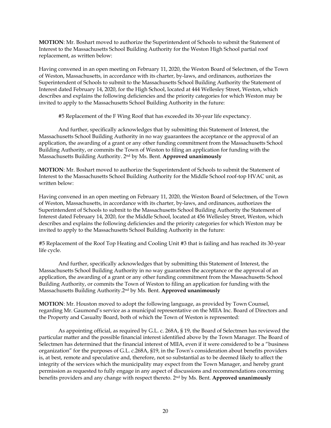**MOTION**: Mr. Boshart moved to authorize the Superintendent of Schools to submit the Statement of Interest to the Massachusetts School Building Authority for the Weston High School partial roof replacement, as written below:

Having convened in an open meeting on February 11, 2020, the Weston Board of Selectmen, of the Town of Weston, Massachusetts, in accordance with its charter, by-laws, and ordinances, authorizes the Superintendent of Schools to submit to the Massachusetts School Building Authority the Statement of Interest dated February 14, 2020, for the High School, located at 444 Wellesley Street, Weston, which describes and explains the following deficiencies and the priority categories for which Weston may be invited to apply to the Massachusetts School Building Authority in the future:

#5 Replacement of the F Wing Roof that has exceeded its 30-year life expectancy.

And further, specifically acknowledges that by submitting this Statement of Interest, the Massachusetts School Building Authority in no way guarantees the acceptance or the approval of an application, the awarding of a grant or any other funding commitment from the Massachusetts School Building Authority, or commits the Town of Weston to filing an application for funding with the Massachusetts Building Authority. 2 nd by Ms. Bent. **Approved unanimously**

**MOTION**: Mr. Boshart moved to authorize the Superintendent of Schools to submit the Statement of Interest to the Massachusetts School Building Authority for the Middle School roof-top HVAC unit, as written below:

Having convened in an open meeting on February 11, 2020, the Weston Board of Selectmen, of the Town of Weston, Massachusetts, in accordance with its charter, by-laws, and ordinances, authorizes the Superintendent of Schools to submit to the Massachusetts School Building Authority the Statement of Interest dated February 14, 2020, for the Middle School, located at 456 Wellesley Street, Weston, which describes and explains the following deficiencies and the priority categories for which Weston may be invited to apply to the Massachusetts School Building Authority in the future:

#5 Replacement of the Roof Top Heating and Cooling Unit #3 that is failing and has reached its 30-year life cycle.

And further, specifically acknowledges that by submitting this Statement of Interest, the Massachusetts School Building Authority in no way guarantees the acceptance or the approval of an application, the awarding of a grant or any other funding commitment from the Massachusetts School Building Authority, or commits the Town of Weston to filing an application for funding with the Massachusetts Building Authority.2nd by Ms. Bent. **Approved unanimously**

**MOTION**: Mr. Houston moved to adopt the following language, as provided by Town Counsel, regarding Mr. Gaumond's service as a municipal representative on the MIIA Inc. Board of Directors and the Property and Casualty Board, both of which the Town of Weston is represented:

As appointing official, as required by G.L. c. 268A, § 19, the Board of Selectmen has reviewed the particular matter and the possible financial interest identified above by the Town Manager. The Board of Selectmen has determined that the financial interest of MIIA, even if it were considered to be a "business organization" for the purposes of G.L. c.268A, §19, in the Town's consideration about benefits providers is, at best, remote and speculative and, therefore, not so substantial as to be deemed likely to affect the integrity of the services which the municipality may expect from the Town Manager, and hereby grant permission as requested to fully engage in any aspect of discussions and recommendations concerning benefits providers and any change with respect thereto. 2 nd by Ms. Bent. **Approved unanimously**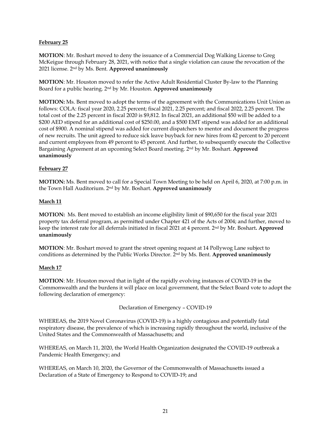# **February 25**

**MOTION**: Mr. Boshart moved to deny the issuance of a Commercial Dog Walking License to Greg McKeigue through February 28, 2021, with notice that a single violation can cause the revocation of the 2021 license. 2nd by Ms. Bent. **Approved unanimously**

**MOTION**: Mr. Houston moved to refer the Active Adult Residential Cluster By-law to the Planning Board for a public hearing. 2nd by Mr. Houston. **Approved unanimously**

**MOTION:** Ms. Bent moved to adopt the terms of the agreement with the Communications Unit Union as follows: COLA: fiscal year 2020, 2.25 percent; fiscal 2021, 2.25 percent; and fiscal 2022, 2.25 percent. The total cost of the 2.25 percent in fiscal 2020 is \$9,812. In fiscal 2021, an additional \$50 will be added to a \$200 AED stipend for an additional cost of \$250.00, and a \$500 EMT stipend was added for an additional cost of \$900. A nominal stipend was added for current dispatchers to mentor and document the progress of new recruits. The unit agreed to reduce sick leave buyback for new hires from 42 percent to 20 percent and current employees from 49 percent to 45 percent. And further, to subsequently execute the Collective Bargaining Agreement at an upcoming Select Board meeting. 2nd by Mr. Boshart. **Approved unanimously**

### **February 27**

**MOTION:** Ms. Bent moved to call for a Special Town Meeting to be held on April 6, 2020, at 7:00 p.m. in the Town Hall Auditorium. 2nd by Mr. Boshart. **Approved unanimously**

### **March 11**

**MOTION:** Ms. Bent moved to establish an income eligibility limit of \$90,650 for the fiscal year 2021 property tax deferral program, as permitted under Chapter 421 of the Acts of 2004; and further, moved to keep the interest rate for all deferrals initiated in fiscal 2021 at 4 percent. 2nd by Mr. Boshart**. Approved unanimously**

**MOTION**: Mr. Boshart moved to grant the street opening request at 14 Pollywog Lane subject to conditions as determined by the Public Works Director. 2nd by Ms. Bent. **Approved unanimously**

#### **March 17**

**MOTION**: Mr. Houston moved that in light of the rapidly evolving instances of COVID-19 in the Commonwealth and the burdens it will place on local government, that the Select Board vote to adopt the following declaration of emergency:

Declaration of Emergency – COVID-19

WHEREAS, the 2019 Novel Coronavirus (COVID-19) is a highly contagious and potentially fatal respiratory disease, the prevalence of which is increasing rapidly throughout the world, inclusive of the United States and the Commonwealth of Massachusetts; and

WHEREAS, on March 11, 2020, the World Health Organization designated the COVID-19 outbreak a Pandemic Health Emergency; and

WHEREAS, on March 10, 2020, the Governor of the Commonwealth of Massachusetts issued a Declaration of a State of Emergency to Respond to COVID-19; and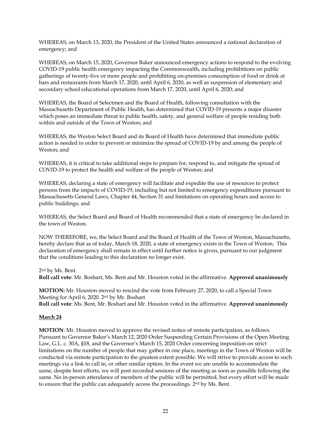WHEREAS, on March 13, 2020, the President of the United States announced a national declaration of emergency; and

WHEREAS, on March 15, 2020, Governor Baker announced emergency actions to respond to the evolving COVID-19 public health emergency impacting the Commonwealth, including prohibitions on public gatherings of twenty-five or more people and prohibiting on-premises consumption of food or drink at bars and restaurants from March 17, 2020, until April 6, 2020, as well as suspension of elementary and secondary school educational operations from March 17, 2020, until April 6, 2020; and

WHEREAS, the Board of Selectmen and the Board of Health, following consultation with the Massachusetts Department of Public Health, has determined that COVID-19 presents a major disaster which poses an immediate threat to public health, safety, and general welfare of people residing both within and outside of the Town of Weston; and

WHEREAS, the Weston Select Board and its Board of Health have determined that immediate public action is needed in order to prevent or minimize the spread of COVID-19 by and among the people of Weston; and

WHEREAS, it is critical to take additional steps to prepare for, respond to, and mitigate the spread of COVID-19 to protect the health and welfare of the people of Weston; and

WHEREAS, declaring a state of emergency will facilitate and expedite the use of resources to protect persons from the impacts of COVID-19, including but not limited to emergency expenditures pursuant to Massachusetts General Laws, Chapter 44, Section 31 and limitations on operating hours and access to public buildings; and

WHEREAS, the Select Board and Board of Health recommended that a state of emergency be declared in the town of Weston.

NOW THEREFORE, we, the Select Board and the Board of Health of the Town of Weston, Massachusetts, hereby declare that as of today, March 18, 2020, a state of emergency exists in the Town of Weston. This declaration of emergency shall remain in effect until further notice is given, pursuant to our judgment that the conditions leading to this declaration no longer exist.

2 nd by Ms. Bent.

**Roll call vote**: Mr. Boshart, Ms. Bent and Mr. Houston voted in the affirmative. **Approved unanimously**

**MOTION:** Mr. Houston moved to rescind the vote from February 27, 2020, to call a Special Town Meeting for April 6, 2020. 2nd by Mr. Boshart **Roll call vote**: Ms. Bent, Mr. Boshart and Mr. Houston voted in the affirmative. **Approved unanimously**

#### **March 24**

**MOTION**: Mr. Houston moved to approve the revised notice of remote participation, as follows: Pursuant to Governor Baker's March 12, 2020 Order Suspending Certain Provisions of the Open Meeting Law, G.L. c. 30A, §18, and the Governor's March 15, 2020 Order concerning imposition on strict limitations on the number of people that may gather in one place, meetings in the Town of Weston will be conducted via remote participation to the greatest extent possible. We will strive to provide access to such meetings via a link to call in, or other similar option. In the event we are unable to accommodate the same, despite best efforts, we will post recorded sessions of the meeting as soon as possible following the same. No in-person attendance of members of the public will be permitted, but every effort will be made to ensure that the public can adequately access the proceedings. 2<sup>nd</sup> by Ms. Bent.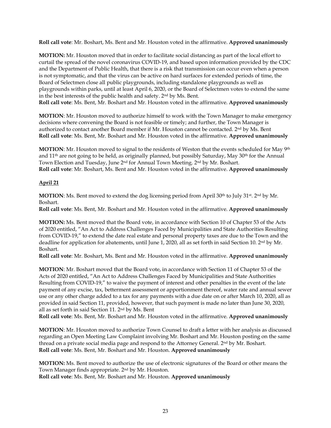**Roll call vote**: Mr. Boshart, Ms. Bent and Mr. Houston voted in the affirmative. **Approved unanimously**

**MOTION:** Mr. Houston moved that in order to facilitate social distancing as part of the local effort to curtail the spread of the novel coronavirus COVID-19, and based upon information provided by the CDC and the Department of Public Health, that there is a risk that transmission can occur even when a person is not symptomatic, and that the virus can be active on hard surfaces for extended periods of time, the Board of Selectmen close all public playgrounds, including standalone playgrounds as well as playgrounds within parks, until at least April 6, 2020, or the Board of Selectmen votes to extend the same in the best interests of the public health and safety. 2nd by Ms. Bent. **Roll call vote**: Ms. Bent, Mr. Boshart and Mr. Houston voted in the affirmative. **Approved unanimously**

**MOTION**: Mr. Houston moved to authorize himself to work with the Town Manager to make emergency decisions where convening the Board is not feasible or timely; and further, the Town Manager is authorized to contact another Board member if Mr. Houston cannot be contacted. 2nd by Ms. Bent **Roll call vote**: Ms. Bent, Mr. Boshart and Mr. Houston voted in the affirmative. **Approved unanimously**

**MOTION**: Mr. Houston moved to signal to the residents of Weston that the events scheduled for May <sup>9th</sup> and  $11<sup>th</sup>$  are not going to be held, as originally planned, but possibly Saturday, May  $30<sup>th</sup>$  for the Annual Town Election and Tuesday, June 2nd for Annual Town Meeting. 2nd by Mr. Boshart. **Roll call vote**: Mr. Boshart, Ms. Bent and Mr. Houston voted in the affirmative. **Approved unanimously**

# **April 21**

**MOTION:** Ms. Bent moved to extend the dog licensing period from April 30<sup>th</sup> to July 31<sup>st</sup>. 2<sup>nd</sup> by Mr. Boshart.

**Roll call vote**: Ms. Bent, Mr. Boshart and Mr. Houston voted in the affirmative. **Approved unanimously**

**MOTION:** Ms. Bent moved that the Board vote, in accordance with Section 10 of Chapter 53 of the Acts of 2020 entitled, "An Act to Address Challenges Faced by Municipalities and State Authorities Resulting from COVID-19," to extend the date real estate and personal property taxes are due to the Town and the deadline for application for abatements, until June 1, 2020, all as set forth in said Section 10. 2nd by Mr. Boshart.

**Roll call vote**: Mr. Boshart, Ms. Bent and Mr. Houston voted in the affirmative. **Approved unanimously**

**MOTION**: Mr. Boshart moved that the Board vote, in accordance with Section 11 of Chapter 53 of the Acts of 2020 entitled, "An Act to Address Challenges Faced by Municipalities and State Authorities Resulting from COVID-19," to waive the payment of interest and other penalties in the event of the late payment of any excise, tax, betterment assessment or apportionment thereof, water rate and annual sewer use or any other charge added to a tax for any payments with a due date on or after March 10, 2020, all as provided in said Section 11, provided, however, that such payment is made no later than June 30, 2020, all as set forth in said Section 11. 2nd by Ms. Bent

**Roll call vote**: Ms. Bent, Mr. Boshart and Mr. Houston voted in the affirmative. **Approved unanimously**

**MOTION**: Mr. Houston moved to authorize Town Counsel to draft a letter with her analysis as discussed regarding an Open Meeting Law Complaint involving Mr. Boshart and Mr. Houston posting on the same thread on a private social media page and respond to the Attorney General. 2nd by Mr. Boshart. **Roll call vote**: Ms. Bent, Mr. Boshart and Mr. Houston. **Approved unanimously**

**MOTION:** Ms. Bent moved to authorize the use of electronic signatures of the Board or other means the Town Manager finds appropriate. 2nd by Mr. Houston. **Roll call vote**: Ms. Bent, Mr. Boshart and Mr. Houston. **Approved unanimously**

23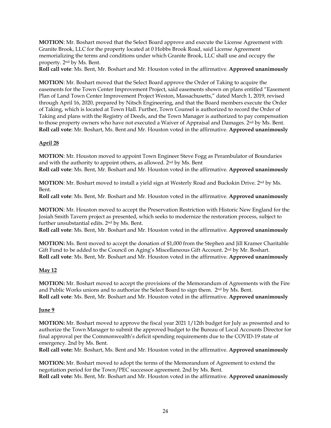**MOTION**: Mr. Boshart moved that the Select Board approve and execute the License Agreement with Granite Brook, LLC for the property located at 0 Hobbs Brook Road, said License Agreement memorializing the terms and conditions under which Granite Brook, LLC shall use and occupy the property. 2nd by Ms. Bent.

**Roll call vote**: Ms. Bent, Mr. Boshart and Mr. Houston voted in the affirmative. **Approved unanimously**

**MOTION**: Mr. Boshart moved that the Select Board approve the Order of Taking to acquire the easements for the Town Center Improvement Project, said easements shown on plans entitled "Easement Plan of Land Town Center Improvement Project Weston, Massachusetts," dated March 1, 2019, revised through April 16, 2020, prepared by Nitsch Engineering, and that the Board members execute the Order of Taking, which is located at Town Hall. Further, Town Counsel is authorized to record the Order of Taking and plans with the Registry of Deeds, and the Town Manager is authorized to pay compensation to those property owners who have not executed a Waiver of Appraisal and Damages. 2<sup>nd</sup> by Ms. Bent. **Roll call vote**: Mr. Boshart, Ms. Bent and Mr. Houston voted in the affirmative. **Approved unanimously**

# **April 28**

**MOTION**: Mr. Houston moved to appoint Town Engineer Steve Fogg as Perambulator of Boundaries and with the authority to appoint others, as allowed. 2nd by Ms. Bent **Roll call vote**: Ms. Bent, Mr. Boshart and Mr. Houston voted in the affirmative. **Approved unanimously**

**MOTION**: Mr. Boshart moved to install a yield sign at Westerly Road and Buckskin Drive. 2nd by Ms. Bent.

**Roll call vote**: Ms. Bent, Mr. Boshart and Mr. Houston voted in the affirmative. **Approved unanimously**

**MOTION**: Mr. Houston moved to accept the Preservation Restriction with Historic New England for the Josiah Smith Tavern project as presented, which seeks to modernize the restoration process, subject to further unsubstantial edits. 2nd by Ms. Bent.

**Roll call vote**: Ms. Bent, Mr. Boshart and Mr. Houston voted in the affirmative. **Approved unanimously**

**MOTION:** Ms. Bent moved to accept the donation of \$1,000 from the Stephen and Jill Kramer Charitable Gift Fund to be added to the Council on Aging's Miscellaneous Gift Account. 2<sup>nd</sup> by Mr. Boshart. **Roll call vote**: Ms. Bent, Mr. Boshart and Mr. Houston voted in the affirmative. **Approved unanimously**

# **May 12**

**MOTION:** Mr. Boshart moved to accept the provisions of the Memorandum of Agreements with the Fire and Public Works unions and to authorize the Select Board to sign them. 2nd by Ms. Bent. **Roll call vote**: Ms. Bent, Mr. Boshart and Mr. Houston voted in the affirmative. **Approved unanimously**

#### **June 9**

**MOTION:** Mr. Boshart moved to approve the fiscal year 2021 1/12th budget for July as presented and to authorize the Town Manager to submit the approved budget to the Bureau of Local Accounts Director for final approval per the Commonwealth's deficit spending requirements due to the COVID-19 state of emergency. 2nd by Ms. Bent.

**Roll call vote:** Mr. Boshart, Ms. Bent and Mr. Houston voted in the affirmative. **Approved unanimously**

**MOTION:** Mr. Boshart moved to adopt the terms of the Memorandum of Agreement to extend the negotiation period for the Town/PEC successor agreement. 2nd by Ms. Bent. **Roll call vote:** Ms. Bent, Mr. Boshart and Mr. Houston voted in the affirmative. **Approved unanimously**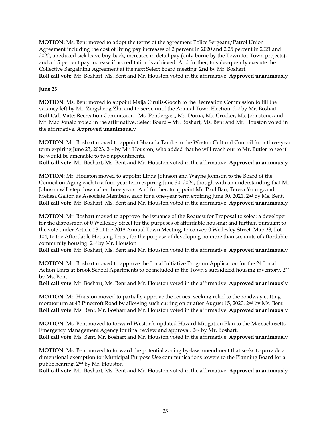**MOTION:** Ms. Bent moved to adopt the terms of the agreement Police Sergeant/Patrol Union Agreement including the cost of living pay increases of 2 percent in 2020 and 2.25 percent in 2021 and 2022, a reduced sick leave buy-back, increases in detail pay (only borne by the Town for Town projects), and a 1.5 percent pay increase if accreditation is achieved. And further, to subsequently execute the Collective Bargaining Agreement at the next Select Board meeting. 2nd by Mr. Boshart. **Roll call vote:** Mr. Boshart, Ms. Bent and Mr. Houston voted in the affirmative. **Approved unanimously**

# **June 23**

**MOTION**: Ms. Bent moved to appoint Maija Cirulis-Gooch to the Recreation Commission to fill the vacancy left by Mr. Zingsheng Zhu and to serve until the Annual Town Election. 2nd by Mr. Boshart **Roll Call Vote**: Recreation Commission - Ms. Pendergast, Ms. Dorna, Ms. Crocker, Ms. Johnstone, and Mr. MacDonald voted in the affirmative. Select Board – Mr. Boshart, Ms. Bent and Mr. Houston voted in the affirmative. **Approved unanimously**

**MOTION**: Mr. Boshart moved to appoint Sharada Tambe to the Weston Cultural Council for a three-year term expiring June 23, 2023. 2nd by Mr. Houston, who added that he will reach out to Mr. Butler to see if he would be amenable to two appointments.

**Roll call vote**: Mr. Boshart, Ms. Bent and Mr. Houston voted in the affirmative. **Approved unanimously**

**MOTION**: Mr. Houston moved to appoint Linda Johnson and Wayne Johnson to the Board of the Council on Aging each to a four-year term expiring June 30, 2024, though with an understanding that Mr. Johnson will step down after three years. And further, to appoint Mr. Paul Bau, Teresa Young, and Melissa Galton as Associate Members, each for a one-year term expiring June 30, 2021. 2nd by Ms. Bent. **Roll call vote**: Mr. Boshart, Ms. Bent and Mr. Houston voted in the affirmative. **Approved unanimously**

**MOTION**: Mr. Boshart moved to approve the issuance of the Request for Proposal to select a developer for the disposition of 0 Wellesley Street for the purposes of affordable housing; and further, pursuant to the vote under Article 18 of the 2018 Annual Town Meeting, to convey 0 Wellesley Street, Map 28, Lot 104, to the Affordable Housing Trust, for the purpose of developing no more than six units of affordable community housing. 2nd by Mr. Houston

**Roll call vote**: Mr. Boshart, Ms. Bent and Mr. Houston voted in the affirmative. **Approved unanimously**

**MOTION:** Mr. Boshart moved to approve the Local Initiative Program Application for the 24 Local Action Units at Brook School Apartments to be included in the Town's subsidized housing inventory. 2nd by Ms. Bent.

**Roll call vote**: Mr. Boshart, Ms. Bent and Mr. Houston voted in the affirmative. **Approved unanimously**

**MOTION**: Mr. Houston moved to partially approve the request seeking relief to the roadway cutting moratorium at 43 Pinecroft Road by allowing such cutting on or after August 15, 2020. 2nd by Ms. Bent **Roll call vote**: Ms. Bent, Mr. Boshart and Mr. Houston voted in the affirmative. **Approved unanimously**

**MOTION**: Ms. Bent moved to forward Weston's updated Hazard Mitigation Plan to the Massachusetts Emergency Management Agency for final review and approval. 2nd by Mr. Boshart. **Roll call vote**: Ms. Bent, Mr. Boshart and Mr. Houston voted in the affirmative. **Approved unanimously**

**MOTION**: Ms. Bent moved to forward the potential zoning by-law amendment that seeks to provide a dimensional exemption for Municipal Purpose Use communications towers to the Planning Board for a public hearing. 2nd by Mr. Houston

**Roll call vote**: Mr. Boshart, Ms. Bent and Mr. Houston voted in the affirmative. **Approved unanimously**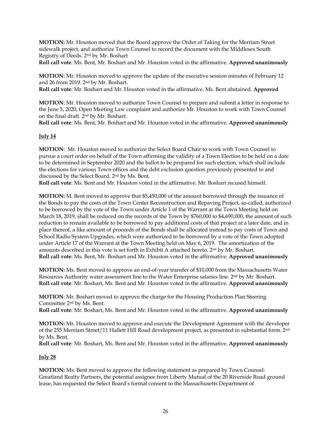**MOTION:** Mr. Houston moved that the Board approve the Order of Taking for the Merriam Street sidewalk project, and authorize Town Counsel to record the document with the Middlesex South Registry of Deeds. 2nd by Mr. Boshart

**Roll call vote**: Ms. Bent, Mr. Boshart and Mr. Houston voted in the affirmative. **Approved unanimously**

**MOTION**: Mr. Houston moved to approve the update of the executive session minutes of February 12 and 26 from 2019. 2nd by Mr. Boshart.

**Roll call vote**: Mr. Boshart and Mr. Houston voted in the affirmative. Ms. Bent abstained. **Approved**

**MOTION**: Mr. Houston moved to authorize Town Counsel to prepare and submit a letter in response to the June 5, 2020, Open Meeting Law complaint and authorize Mr. Houston to work with Town Counsel on the final draft. 2nd by Mr. Boshart.

**Roll call vote**: Ms. Bent, Mr. Boshart and Mr. Houston voted in the affirmative. **Approved unanimously**

# **July 14**

**MOTION**: Mr. Houston moved to authorize the Select Board Chair to work with Town Counsel to pursue a court order on behalf of the Town affirming the validity of a Town Election to be held on a date to be determined in September 2020 and the ballot to be prepared for such election, which shall include the elections for various Town offices and the debt exclusion question previously presented to and discussed by the Select Board. 2nd by Ms. Bent.

**Roll call vote**: Ms. Bent and Mr. Houston voted in the affirmative. Mr. Boshart recused himself.

**MOTION:** M. Bent moved to approve that \$5,450,000 of the amount borrowed through the issuance of the Bonds to pay the costs of the Town Center Reconstruction and Repaving Project, so-called, authorized to be borrowed by the vote of the Town under Article 1 of the Warrant at the Town Meeting held on March 18, 2019, shall be reduced on the records of the Town by \$760,000 to \$4,690,000, the amount of such reduction to remain available to be borrowed to pay additional costs of that project at a later date, and in place thereof, a like amount of proceeds of the Bonds shall be allocated instead to pay costs of Town and School Radio System Upgrades, which were authorized to be borrowed by a vote of the Town adopted under Article 17 of the Warrant at the Town Meeting held on May 6, 2019. The amortization of the amounts described in this vote is set forth in Exhibit A attached hereto. 2nd by Mr. Boshart. **Roll call vote**: Ms. Bent, Mr. Boshart and Mr. Houston voted in the affirmative. **Approved unanimously**

**MOTION:** Ms. Bent moved to approve an end-of-year transfer of \$10,000 from the Massachusetts Water Resources Authority water assessment line to the Water Enterprise salaries line. 2<sup>nd</sup> by Mr. Boshart. **Roll call vote**: Mr. Boshart, Ms. Bent and Mr. Houston voted in the affirmative. **Approved unanimously**

**MOTION**: Mr. Boshart moved to approve the charge for the Housing Production Plan Steering Committee 2nd by Ms. Bent.

**Roll call vote**: Mr. Boshart, Ms. Bent and Mr. Houston voted in the affirmative. **Approved unanimously**

**MOTION:** Mr. Houston moved to approve and execute the Development Agreement with the developer of the 255 Merriam Street/11 Hallett Hill Road development project, as presented in substantial form. 2nd by Ms. Bent.

**Roll call vote**: Mr. Boshart, Ms. Bent and Mr. Houston voted in the affirmative. **Approved unanimously**

# **July 28**

**MOTION:** Ms. Bent moved to approve the following statement as prepared by Town Counsel: Greatland Realty Partners, the potential assignee from Liberty Mutual of the 20 Riverside Road ground lease, has requested the Select Board's formal consent to the Massachusetts Department of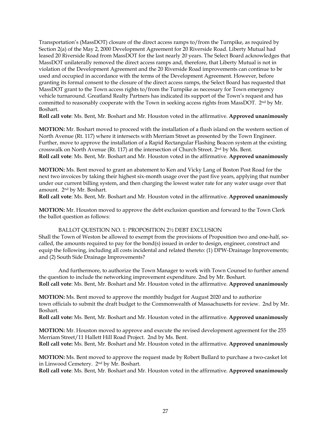Transportation's (MassDOT) closure of the direct access ramps to/from the Turnpike, as required by Section 2(a) of the May 2, 2000 Development Agreement for 20 Riverside Road. Liberty Mutual had leased 20 Riverside Road from MassDOT for the last nearly 20 years. The Select Board acknowledges that MassDOT unilaterally removed the direct access ramps and, therefore, that Liberty Mutual is not in violation of the Development Agreement and the 20 Riverside Road improvements can continue to be used and occupied in accordance with the terms of the Development Agreement. However, before granting its formal consent to the closure of the direct access ramps, the Select Board has requested that MassDOT grant to the Town access rights to/from the Turnpike as necessary for Town emergency vehicle turnaround. Greatland Realty Partners has indicated its support of the Town's request and has committed to reasonably cooperate with the Town in seeking access rights from MassDOT. 2<sup>nd</sup> by Mr. Boshart.

**Roll call vote**: Ms. Bent, Mr. Boshart and Mr. Houston voted in the affirmative. **Approved unanimously**

**MOTION:** Mr. Boshart moved to proceed with the installation of a flush island on the western section of North Avenue (Rt. 117) where it intersects with Merriam Street as presented by the Town Engineer. Further, move to approve the installation of a Rapid Rectangular Flashing Beacon system at the existing crosswalk on North Avenue (Rt. 117) at the intersection of Church Street. 2nd by Ms. Bent. **Roll call vote**: Ms. Bent, Mr. Boshart and Mr. Houston voted in the affirmative. **Approved unanimously**

**MOTION:** Ms. Bent moved to grant an abatement to Ken and Vicky Lang of Boston Post Road for the next two invoices by taking their highest six-month usage over the past five years, applying that number under our current billing system, and then charging the lowest water rate for any water usage over that amount. 2 nd by Mr. Boshart.

**Roll call vote**: Ms. Bent, Mr. Boshart and Mr. Houston voted in the affirmative. **Approved unanimously**

**MOTION:** Mr. Houston moved to approve the debt exclusion question and forward to the Town Clerk the ballot question as follows:

#### BALLOT QUESTION NO. 1: PROPOSITION 2½ DEBT EXCLUSION

Shall the Town of Weston be allowed to exempt from the provisions of Proposition two and one-half, socalled, the amounts required to pay for the bond(s) issued in order to design, engineer, construct and equip the following, including all costs incidental and related thereto: (1) DPW-Drainage Improvements; and (2) South Side Drainage Improvements?

And furthermore, to authorize the Town Manager to work with Town Counsel to further amend the question to include the networking improvement expenditure. 2nd by Mr. Boshart. **Roll call vote**: Ms. Bent, Mr. Boshart and Mr. Houston voted in the affirmative. **Approved unanimously**

**MOTION:** Ms. Bent moved to approve the monthly budget for August 2020 and to authorize town officials to submit the draft budget to the Commonwealth of Massachusetts for review. 2nd by Mr. Boshart.

**Roll call vote:** Ms. Bent, Mr. Boshart and Mr. Houston voted in the affirmative. **Approved unanimously**

**MOTION:** Mr. Houston moved to approve and execute the revised development agreement for the 255 Merriam Street/11 Hallett Hill Road Project. 2nd by Ms. Bent. **Roll call vote:** Ms. Bent, Mr. Boshart and Mr. Houston voted in the affirmative. **Approved unanimously**

**MOTION:** Ms. Bent moved to approve the request made by Robert Bullard to purchase a two-casket lot in Linwood Cemetery. 2 nd by Mr. Boshart.

**Roll call vote**: Ms. Bent, Mr. Boshart and Mr. Houston voted in the affirmative. **Approved unanimously**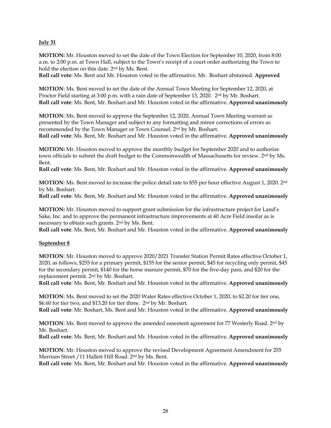#### **July 31**

**MOTION:** Mr. Houston moved to set the date of the Town Election for September 10, 2020, from 8:00 a.m. to 2:00 p.m. at Town Hall, subject to the Town's receipt of a court order authorizing the Town to hold the election on this date. 2nd by Ms. Bent.

**Roll call vote**: Ms. Bent and Mr. Houston voted in the affirmative. Mr. Boshart abstained. **Approved**

**MOTION**: Ms. Bent moved to set the date of the Annual Town Meeting for September 12, 2020, at Proctor Field starting at 3:00 p.m. with a rain date of September 13, 2020. 2<sup>nd</sup> by Mr. Boshart. **Roll call vote**: Ms. Bent, Mr. Boshart and Mr. Houston voted in the affirmative. **Approved unanimously**

**MOTION**: Ms. Bent moved to approve the September 12, 2020, Annual Town Meeting warrant as presented by the Town Manager and subject to any formatting and minor corrections of errors as recommended by the Town Manager or Town Counsel. 2 nd by Mr. Boshart.

**Roll call vote**: Ms. Bent, Mr. Boshart and Mr. Houston voted in the affirmative. **Approved unanimously**

**MOTION:** Mr. Houston moved to approve the monthly budget for September 2020 and to authorize town officials to submit the draft budget to the Commonwealth of Massachusetts for review. 2<sup>nd</sup> by Ms. Bent.

**Roll call vote**: Ms. Bent, Mr. Boshart and Mr. Houston voted in the affirmative. **Approved unanimously**

**MOTION**: Ms. Bent moved to increase the police detail rate to \$55 per hour effective August 1, 2020. 2nd by Mr. Boshart.

**Roll call vote**: Ms. Bent, Mr. Boshart and Mr. Houston voted in the affirmative. **Approved unanimously**

**MOTION:** Mr. Houston moved to support grant submission for the infrastructure project for Land's Sake, Inc. and to approve the permanent infrastructure improvements at 40 Acre Field insofar as is necessary to obtain such grants. 2nd by Ms. Bent.

**Roll call vote**: Ms. Bent, Mr. Boshart and Mr. Houston voted in the affirmative. **Approved unanimously**

# **September 8**

**MOTION**: Mr. Houston moved to approve 2020/2021 Transfer Station Permit Rates effective October 1, 2020, as follows, \$255 for a primary permit, \$155 for the senior permit, \$45 for recycling only permit, \$45 for the secondary permit, \$140 for the horse manure permit, \$70 for the five-day pass, and \$20 for the replacement permit. 2 nd by Mr. Boshart.

**Roll call vote**: Ms. Bent, Mr. Boshart and Mr. Houston voted in the affirmative. **Approved unanimously**

**MOTION**: Ms. Bent moved to set the 2020 Water Rates effective October 1, 2020, to \$2.20 for tier one, \$6.60 for tier two, and \$13.20 for tier three. 2 nd by Mr. Boshart. **Roll call vote**: Mr. Boshart, Ms. Bent and Mr. Houston voted in the affirmative. **Approved unanimously**

**MOTION**: Ms. Bent moved to approve the amended easement agreement for 77 Westerly Road. 2<sup>nd</sup> by Mr. Boshart.

**Roll call vote**: Ms. Bent, Mr. Boshart and Mr. Houston voted in the affirmative. **Approved unanimously**

**MOTION**: Mr. Houston moved to approve the revised Development Agreement Amendment for 255 Merriam Street /11 Hallett Hill Road. 2 nd by Ms. Bent.

**Roll call vote**: Ms. Bent, Mr. Boshart and Mr. Houston voted in the affirmative. **Approved unanimously**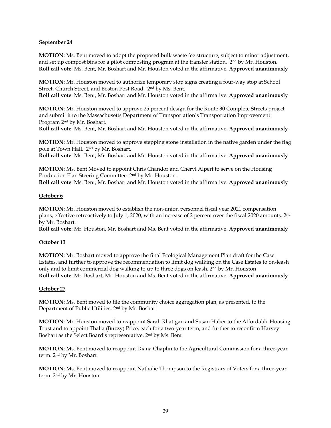#### **September 24**

**MOTION**: Ms. Bent moved to adopt the proposed bulk waste fee structure, subject to minor adjustment, and set up compost bins for a pilot composting program at the transfer station.  $2<sup>nd</sup>$  by Mr. Houston. **Roll call vote**: Ms. Bent, Mr. Boshart and Mr. Houston voted in the affirmative. **Approved unanimously**

**MOTION**: Mr. Houston moved to authorize temporary stop signs creating a four-way stop at School Street, Church Street, and Boston Post Road. 2 nd by Ms. Bent. **Roll call vote**: Ms. Bent, Mr. Boshart and Mr. Houston voted in the affirmative. **Approved unanimously**

**MOTION**: Mr. Houston moved to approve 25 percent design for the Route 30 Complete Streets project and submit it to the Massachusetts Department of Transportation's Transportation Improvement Program 2 nd by Mr. Boshart.

**Roll call vote**: Ms. Bent, Mr. Boshart and Mr. Houston voted in the affirmative. **Approved unanimously**

**MOTION**: Mr. Houston moved to approve stepping stone installation in the native garden under the flag pole at Town Hall. 2<sup>nd</sup> by Mr. Boshart.

**Roll call vote**: Ms. Bent, Mr. Boshart and Mr. Houston voted in the affirmative. **Approved unanimously**

**MOTION**: Ms. Bent Moved to appoint Chris Chandor and Cheryl Alpert to serve on the Housing Production Plan Steering Committee. 2 nd by Mr. Houston. **Roll call vote**: Ms. Bent, Mr. Boshart and Mr. Houston voted in the affirmative. **Approved unanimously**

### **October 6**

**MOTION:** Mr. Houston moved to establish the non-union personnel fiscal year 2021 compensation plans, effective retroactively to July 1, 2020, with an increase of 2 percent over the fiscal 2020 amounts. 2nd by Mr. Boshart.

**Roll call vote**: Mr. Houston, Mr. Boshart and Ms. Bent voted in the affirmative. **Approved unanimously**

# **October 13**

**MOTION**: Mr. Boshart moved to approve the final Ecological Management Plan draft for the Case Estates, and further to approve the recommendation to limit dog walking on the Case Estates to on-leash only and to limit commercial dog walking to up to three dogs on leash. 2nd by Mr. Houston **Roll call vote**: Mr. Boshart, Mr. Houston and Ms. Bent voted in the affirmative. **Approved unanimously**

#### **October 27**

**MOTION**: Ms. Bent moved to file the community choice aggregation plan, as presented, to the Department of Public Utilities. 2nd by Mr. Boshart

**MOTION**: Mr. Houston moved to reappoint Sarah Rhatigan and Susan Haber to the Affordable Housing Trust and to appoint Thalia (Buzzy) Price, each for a two-year term, and further to reconfirm Harvey Boshart as the Select Board's representative. 2nd by Ms. Bent

**MOTION**: Ms. Bent moved to reappoint Diana Chaplin to the Agricultural Commission for a three-year term. 2nd by Mr. Boshart

**MOTION**: Ms. Bent moved to reappoint Nathalie Thompson to the Registrars of Voters for a three-year term. 2nd by Mr. Houston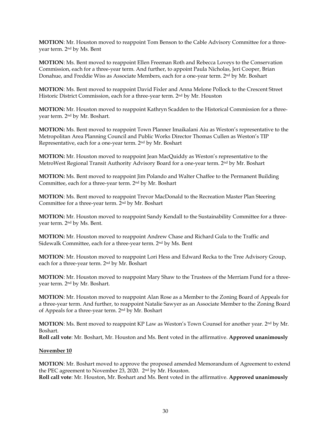**MOTION**: Mr. Houston moved to reappoint Tom Benson to the Cable Advisory Committee for a threeyear term. 2nd by Ms. Bent

**MOTION**: Ms. Bent moved to reappoint Ellen Freeman Roth and Rebecca Loveys to the Conservation Commission, each for a three-year term. And further, to appoint Paula Nicholas, Jeri Cooper, Brian Donahue, and Freddie Wiss as Associate Members, each for a one-year term. 2nd by Mr. Boshart

**MOTION**: Ms. Bent moved to reappoint David Fixler and Anna Melone Pollock to the Crescent Street Historic District Commission, each for a three-year term. 2nd by Mr. Houston

**MOTION:** Mr. Houston moved to reappoint Kathryn Scadden to the Historical Commission for a threeyear term. 2nd by Mr. Boshart.

**MOTION:** Ms. Bent moved to reappoint Town Planner Imaikalani Aiu as Weston's representative to the Metropolitan Area Planning Council and Public Works Director Thomas Cullen as Weston's TIP Representative, each for a one-year term. 2nd by Mr. Boshart

**MOTION:** Mr. Houston moved to reappoint Jean MacQuiddy as Weston's representative to the MetroWest Regional Transit Authority Advisory Board for a one-year term. 2nd by Mr. Boshart

**MOTION:** Ms. Bent moved to reappoint Jim Polando and Walter Chaffee to the Permanent Building Committee, each for a three-year term. 2nd by Mr. Boshart

**MOTION**: Ms. Bent moved to reappoint Trevor MacDonald to the Recreation Master Plan Steering Committee for a three-year term. 2nd by Mr. Boshart

**MOTION:** Mr. Houston moved to reappoint Sandy Kendall to the Sustainability Committee for a threeyear term. 2nd by Ms. Bent.

**MOTION:** Mr. Houston moved to reappoint Andrew Chase and Richard Gula to the Traffic and Sidewalk Committee, each for a three-year term. 2nd by Ms. Bent

**MOTION**: Mr. Houston moved to reappoint Lori Hess and Edward Recka to the Tree Advisory Group, each for a three-year term. 2nd by Mr. Boshart

**MOTION**: Mr. Houston moved to reappoint Mary Shaw to the Trustees of the Merriam Fund for a threeyear term. 2nd by Mr. Boshart.

**MOTION**: Mr. Houston moved to reappoint Alan Rose as a Member to the Zoning Board of Appeals for a three-year term. And further, to reappoint Natalie Sawyer as an Associate Member to the Zoning Board of Appeals for a three-year term. 2nd by Mr. Boshart

**MOTION**: Ms. Bent moved to reappoint KP Law as Weston's Town Counsel for another year. 2nd by Mr. Boshart.

**Roll call vote**: Mr. Boshart, Mr. Houston and Ms. Bent voted in the affirmative. **Approved unanimously**

#### **November 10**

**MOTION**: Mr. Boshart moved to approve the proposed amended Memorandum of Agreement to extend the PEC agreement to November 23, 2020. 2nd by Mr. Houston.

**Roll call vote**: Mr. Houston, Mr. Boshart and Ms. Bent voted in the affirmative. **Approved unanimously**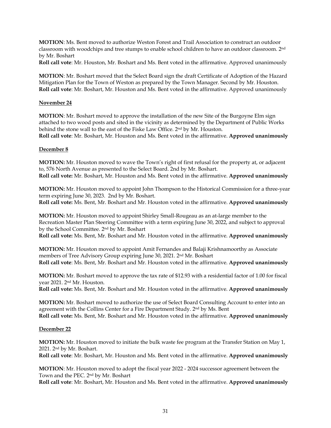**MOTION**: Ms. Bent moved to authorize Weston Forest and Trail Association to construct an outdoor classroom with woodchips and tree stumps to enable school children to have an outdoor classroom. 2nd by Mr. Boshart

**Roll call vote**: Mr. Houston, Mr. Boshart and Ms. Bent voted in the affirmative. Approved unanimously

**MOTION**: Mr. Boshart moved that the Select Board sign the draft Certificate of Adoption of the Hazard Mitigation Plan for the Town of Weston as prepared by the Town Manager. Second by Mr. Houston. **Roll call vote**: Mr. Boshart, Mr. Houston and Ms. Bent voted in the affirmative. Approved unanimously

### **November 24**

**MOTION**: Mr. Boshart moved to approve the installation of the new Site of the Burgoyne Elm sign attached to two wood posts and sited in the vicinity as determined by the Department of Public Works behind the stone wall to the east of the Fiske Law Office. 2nd by Mr. Houston. **Roll call vote**: Mr. Boshart, Mr. Houston and Ms. Bent voted in the affirmative. **Approved unanimously**

# **December 8**

**MOTION:** Mr. Houston moved to wave the Town's right of first refusal for the property at, or adjacent to, 576 North Avenue as presented to the Select Board. 2nd by Mr. Boshart.

**Roll call vote:** Mr. Boshart, Mr. Houston and Ms. Bent voted in the affirmative. **Approved unanimously**

**MOTION:** Mr. Houston moved to appoint John Thompson to the Historical Commission for a three-year term expiring June 30, 2023. 2nd by Mr. Boshart.

**Roll call vote:** Ms. Bent, Mr. Boshart and Mr. Houston voted in the affirmative. **Approved unanimously**

**MOTION:** Mr. Houston moved to appoint Shirley Small-Rougeau as an at-large member to the Recreation Master Plan Steering Committee with a term expiring June 30, 2022, and subject to approval by the School Committee. 2nd by Mr. Boshart

**Roll call vote:** Ms. Bent, Mr. Boshart and Mr. Houston voted in the affirmative. **Approved unanimously**

**MOTION:** Mr. Houston moved to appoint Amit Fernandes and Balaji Krishnamoorthy as Associate members of Tree Advisory Group expiring June 30, 2021. 2nd Mr. Boshart **Roll call vote**: Ms. Bent, Mr. Boshart and Mr. Houston voted in the affirmative. **Approved unanimously**

**MOTION:** Mr. Boshart moved to approve the tax rate of \$12.93 with a residential factor of 1.00 for fiscal year 2021. 2nd Mr. Houston.

**Roll call vote:** Ms. Bent, Mr. Boshart and Mr. Houston voted in the affirmative. **Approved unanimously**

**MOTION:** Mr. Boshart moved to authorize the use of Select Board Consulting Account to enter into an agreement with the Collins Center for a Fire Department Study. 2nd by Ms. Bent **Roll call vote:** Ms. Bent, Mr. Boshart and Mr. Houston voted in the affirmative. **Approved unanimously**

#### **December 22**

**MOTION:** Mr. Houston moved to initiate the bulk waste fee program at the Transfer Station on May 1, 2021. 2nd by Mr. Boshart.

**Roll call vote**: Mr. Boshart, Mr. Houston and Ms. Bent voted in the affirmative. **Approved unanimously**

**MOTION**: Mr. Houston moved to adopt the fiscal year 2022 - 2024 successor agreement between the Town and the PEC. 2nd by Mr. Boshart

**Roll call vote**: Mr. Boshart, Mr. Houston and Ms. Bent voted in the affirmative. **Approved unanimously**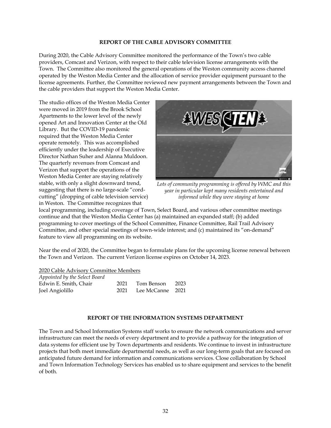#### **REPORT OF THE CABLE ADVISORY COMMITTEE**

During 2020, the Cable Advisory Committee monitored the performance of the Town's two cable providers, Comcast and Verizon, with respect to their cable television license arrangements with the Town. The Committee also monitored the general operations of the Weston community access channel operated by the Weston Media Center and the allocation of service provider equipment pursuant to the license agreements. Further, the Committee reviewed new payment arrangements between the Town and the cable providers that support the Weston Media Center.

The studio offices of the Weston Media Center were moved in 2019 from the Brook School Apartments to the lower level of the newly opened Art and Innovation Center at the Old Library. But the COVID-19 pandemic required that the Weston Media Center operate remotely. This was accomplished efficiently under the leadership of Executive Director Nathan Suher and Alanna Muldoon. The quarterly revenues from Comcast and Verizon that support the operations of the Weston Media Center are staying relatively stable, with only a slight downward trend, suggesting that there is no large-scale "cordcutting" (dropping of cable television service) in Weston. The Committee recognizes that



*Lots of community programming is offered by WMC and this year in particular kept many residents entertained and informed while they were staying at home*

local programming, including coverage of Town, Select Board, and various other committee meetings continue and that the Weston Media Center has (a) maintained an expanded staff; (b) added programming to cover meetings of the School Committee, Finance Committee, Rail Trail Advisory Committee, and other special meetings of town-wide interest; and (c) maintained its "on-demand" feature to view all programming on its website.

Near the end of 2020, the Committee began to formulate plans for the upcoming license renewal between the Town and Verizon. The current Verizon license expires on October 14, 2023.

2020 Cable Advisory Committee Members *Appointed by the Select Board* Edwin E. Smith, Chair 2021 Tom Benson 2023 Joel Angiolillo 2021 Lee McCanne 2021

#### **REPORT OF THE INFORMATION SYSTEMS DEPARTMENT**

The Town and School Information Systems staff works to ensure the network communications and server infrastructure can meet the needs of every department and to provide a pathway for the integration of data systems for efficient use by Town departments and residents. We continue to invest in infrastructure projects that both meet immediate departmental needs, as well as our long-term goals that are focused on anticipated future demand for information and communications services. Close collaboration by School and Town Information Technology Services has enabled us to share equipment and services to the benefit of both.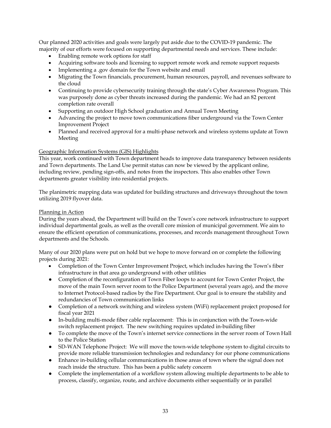Our planned 2020 activities and goals were largely put aside due to the COVID-19 pandemic. The majority of our efforts were focused on supporting departmental needs and services. These include:

- Enabling remote work options for staff
- Acquiring software tools and licensing to support remote work and remote support requests
- Implementing a .gov domain for the Town website and email
- Migrating the Town financials, procurement, human resources, payroll, and revenues software to the cloud
- Continuing to provide cybersecurity training through the state's Cyber Awareness Program. This was purposely done as cyber threats increased during the pandemic. We had an 82 percent completion rate overall
- Supporting an outdoor High School graduation and Annual Town Meeting
- Advancing the project to move town communications fiber underground via the Town Center Improvement Project
- Planned and received approval for a multi-phase network and wireless systems update at Town Meeting

# Geographic Information Systems (GIS) Highlights

This year, work continued with Town department heads to improve data transparency between residents and Town departments. The Land Use permit status can now be viewed by the applicant online, including review, pending sign-offs, and notes from the inspectors. This also enables other Town departments greater visibility into residential projects.

The planimetric mapping data was updated for building structures and driveways throughout the town utilizing 2019 flyover data.

## Planning in Action

During the years ahead, the Department will build on the Town's core network infrastructure to support individual departmental goals, as well as the overall core mission of municipal government. We aim to ensure the efficient operation of communications, processes, and records management throughout Town departments and the Schools.

Many of our 2020 plans were put on hold but we hope to move forward on or complete the following projects during 2021:

- Completion of the Town Center Improvement Project, which includes having the Town's fiber infrastructure in that area go underground with other utilities
- Completion of the reconfiguration of Town Fiber loops to account for Town Center Project, the move of the main Town server room to the Police Department (several years ago), and the move to Internet Protocol-based radios by the Fire Department. Our goal is to ensure the stability and redundancies of Town communication links
- Completion of a network switching and wireless system (WiFi) replacement project proposed for fiscal year 2021
- In-building multi-mode fiber cable replacement: This is in conjunction with the Town-wide switch replacement project. The new switching requires updated in-building fiber
- To complete the move of the Town's internet service connections in the server room of Town Hall to the Police Station
- SD-WAN Telephone Project: We will move the town-wide telephone system to digital circuits to provide more reliable transmission technologies and redundancy for our phone communications
- Enhance in-building cellular communications in those areas of town where the signal does not reach inside the structure. This has been a public safety concern
- Complete the implementation of a workflow system allowing multiple departments to be able to process, classify, organize, route, and archive documents either sequentially or in parallel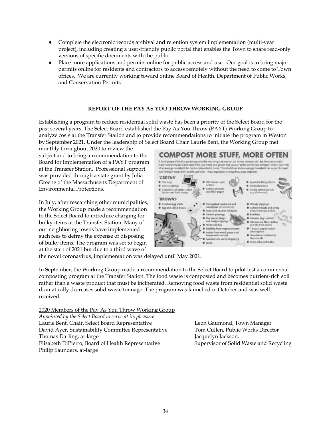- Complete the electronic records archival and retention system implementation (multi-year project), including creating a user-friendly public portal that enables the Town to share read-only versions of specific documents with the public
- Place more applications and permits online for public access and use. Our goal is to bring major permits online for residents and contractors to access remotely without the need to come to Town offices. We are currently working toward online Board of Health, Department of Public Works, and Conservation Permits

# **REPORT OF THE PAY AS YOU THROW WORKING GROUP**

Establishing a program to reduce residential solid waste has been a priority of the Select Board for the past several years. The Select Board established the Pay As You Throw (PAYT) Working Group to analyze costs at the Transfer Station and to provide recommendations to initiate the program in Weston by September 2021. Under the leadership of Select Board Chair Laurie Bent, the Working Group met

monthly throughout 2020 to review the subject and to bring a recommendation to the Board for implementation of a PAYT program at the Transfer Station. Professional support was provided through a state grant by Julia Greene of the Massachusetts Department of Environmental Protections.

In July, after researching other municipalities, the Working Group made a recommendation to the Select Board to introduce charging for bulky items at the Transfer Station. Many of our neighboring towns have implemented such fees to defray the expense of disposing of bulky items. The program was set to begin at the start of 2021 but due to a third wave of



the novel coronavirus, implementation was delayed until May 2021.

In September, the Working Group made a recommendation to the Select Board to pilot test a commercial composting program at the Transfer Station. The food waste is composted and becomes nutrient-rich soil rather than a waste product that must be incinerated. Removing food waste from residential solid waste dramatically decreases solid waste tonnage. The program was launched in October and was well received.

2020 Members of the Pay As You Throw Working Group *Appointed by the Select Board to serve at its pleasure* Laurie Bent, Chair, Select Board Representative Leon Gaumond, Town Manager David Ayer, Sustainability Committee Representative Tom Cullen, Public Works Director Thomas Darling, at-large Jacquelyn Jackson, Elisabeth DiPietro, Board of Health Representative Supervisor of Solid Waste and Recycling Philip Saunders, at-large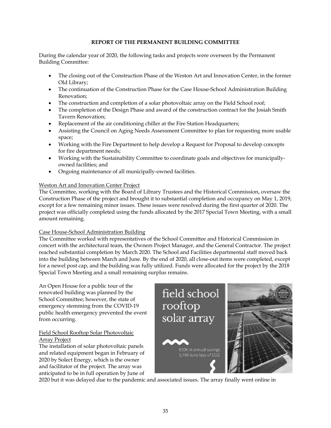# **REPORT OF THE PERMANENT BUILDING COMMITTEE**

During the calendar year of 2020, the following tasks and projects were overseen by the Permanent Building Committee:

- The closing out of the Construction Phase of the Weston Art and Innovation Center, in the former Old Library;
- The continuation of the Construction Phase for the Case House-School Administration Building Renovation;
- The construction and completion of a solar photovoltaic array on the Field School roof;
- The completion of the Design Phase and award of the construction contract for the Josiah Smith Tavern Renovation;
- Replacement of the air conditioning chiller at the Fire Station Headquarters;
- Assisting the Council on Aging Needs Assessment Committee to plan for requesting more usable space;
- Working with the Fire Department to help develop a Request for Proposal to develop concepts for fire department needs;
- Working with the Sustainability Committee to coordinate goals and objectives for municipallyowned facilities; and
- Ongoing maintenance of all municipally-owned facilities.

# Weston Art and Innovation Center Project

The Committee, working with the Board of Library Trustees and the Historical Commission, oversaw the Construction Phase of the project and brought it to substantial completion and occupancy on May 1, 2019, except for a few remaining minor issues. These issues were resolved during the first quarter of 2020. The project was officially completed using the funds allocated by the 2017 Special Town Meeting, with a small amount remaining.

# Case House-School Administration Building

The Committee worked with representatives of the School Committee and Historical Commission in concert with the architectural team, the Owners Project Manager, and the General Contractor. The project reached substantial completion by March 2020. The School and Facilities departmental staff moved back into the building between March and June. By the end of 2020, all close-out items were completed, except for a newel post cap, and the building was fully utilized. Funds were allocated for the project by the 2018 Special Town Meeting and a small remaining surplus remains.

An Open House for a public tour of the renovated building was planned by the School Committee; however, the state of emergency stemming from the COVID-19 public health emergency prevented the event from occurring.

# Field School Rooftop Solar Photovoltaic Array Project

The installation of solar photovoltaic panels and related equipment began in February of 2020 by Solect Energy, which is the owner and facilitator of the project. The array was anticipated to be in full operation by June of



2020 but it was delayed due to the pandemic and associated issues. The array finally went online in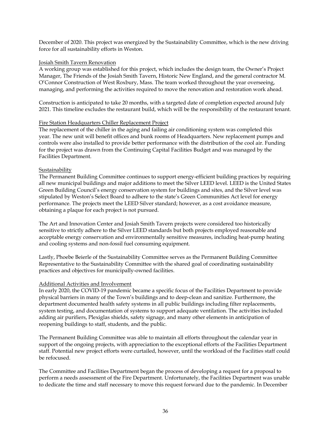December of 2020. This project was energized by the Sustainability Committee, which is the new driving force for all sustainability efforts in Weston.

## Josiah Smith Tavern Renovation

A working group was established for this project, which includes the design team, the Owner's Project Manager, The Friends of the Josiah Smith Tavern, Historic New England, and the general contractor M. O'Connor Construction of West Roxbury, Mass. The team worked throughout the year overseeing, managing, and performing the activities required to move the renovation and restoration work ahead.

Construction is anticipated to take 20 months, with a targeted date of completion expected around July 2021. This timeline excludes the restaurant build, which will be the responsibility of the restaurant tenant.

### Fire Station Headquarters Chiller Replacement Project

The replacement of the chiller in the aging and failing air conditioning system was completed this year. The new unit will benefit offices and bunk rooms of Headquarters. New replacement pumps and controls were also installed to provide better performance with the distribution of the cool air. Funding for the project was drawn from the Continuing Capital Facilities Budget and was managed by the Facilities Department.

### Sustainability

The Permanent Building Committee continues to support energy-efficient building practices by requiring all new municipal buildings and major additions to meet the Silver LEED level. LEED is the United States Green Building Council's energy conservation system for buildings and sites, and the Silver level was stipulated by Weston's Select Board to adhere to the state's Green Communities Act level for energy performance. The projects meet the LEED Silver standard; however, as a cost avoidance measure, obtaining a plaque for each project is not pursued.

The Art and Innovation Center and Josiah Smith Tavern projects were considered too historically sensitive to strictly adhere to the Silver LEED standards but both projects employed reasonable and acceptable energy conservation and environmentally sensitive measures, including heat-pump heating and cooling systems and non-fossil fuel consuming equipment.

Lastly, Phoebe Beierle of the Sustainability Committee serves as the Permanent Building Committee Representative to the Sustainability Committee with the shared goal of coordinating sustainability practices and objectives for municipally-owned facilities.

#### Additional Activities and Involvement

In early 2020, the COVID-19 pandemic became a specific focus of the Facilities Department to provide physical barriers in many of the Town's buildings and to deep-clean and sanitize. Furthermore, the department documented health safety systems in all public buildings including filter replacements, system testing, and documentation of systems to support adequate ventilation. The activities included adding air purifiers, Plexiglas shields, safety signage, and many other elements in anticipation of reopening buildings to staff, students, and the public.

The Permanent Building Committee was able to maintain all efforts throughout the calendar year in support of the ongoing projects, with appreciation to the exceptional efforts of the Facilities Department staff. Potential new project efforts were curtailed, however, until the workload of the Facilities staff could be refocused.

The Committee and Facilities Department began the process of developing a request for a proposal to perform a needs assessment of the Fire Department. Unfortunately, the Facilities Department was unable to dedicate the time and staff necessary to move this request forward due to the pandemic. In December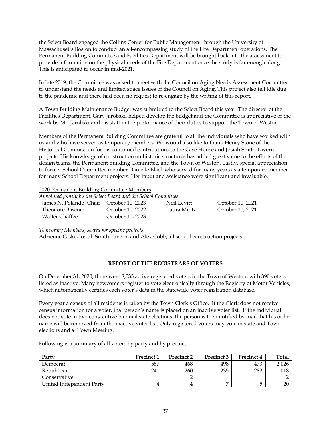the Select Board engaged the Collins Center for Public Management through the University of Massachusetts Boston to conduct an all-encompassing study of the Fire Department operations. The Permanent Building Committee and Facilities Department will be brought back into the assessment to provide information on the physical needs of the Fire Department once the study is far enough along. This is anticipated to occur in mid-2021.

In late 2019, the Committee was asked to meet with the Council on Aging Needs Assessment Committee to understand the needs and limited space issues of the Council on Aging. This project also fell idle due to the pandemic and there had been no request to re-engage by the writing of this report.

A Town Building Maintenance Budget was submitted to the Select Board this year. The director of the Facilities Department, Gary Jarobski, helped develop the budget and the Committee is appreciative of the work by Mr. Jarobski and his staff in the performance of their duties to support the Town of Weston.

Members of the Permanent Building Committee are grateful to all the individuals who have worked with us and who have served as temporary members. We would also like to thank Henry Stone of the Historical Commission for his continued contributions to the Case House and Josiah Smith Tavern projects. His knowledge of construction on historic structures has added great value to the efforts of the design teams, the Permanent Building Committee, and the Town of Weston. Lastly, special appreciation to former School Committee member Danielle Black who served for many years as a temporary member for many School Department projects. Her input and assistance were significant and invaluable.

#### 2020 Permanent Building Committee Members

*Appointed jointly by the Select Board and the School Committee* James N. Polando, Chair October 10, 2023 Neil Levitt October 10, 2021 Theodore Bascom October 10, 2022 Laura Mintz October 10, 2021

*Temporary Members, seated for specific projects*:

Walter Chaffee **October 10, 2023** 

Adrienne Giske, Josiah Smith Tavern, and Alex Cobb, all school construction projects

# **REPORT OF THE REGISTRARS OF VOTERS**

On December 31, 2020, there were 8,033 active registered voters in the Town of Weston, with 390 voters listed as inactive. Many newcomers register to vote electronically through the Registry of Motor Vehicles, which automatically certifies each voter's data in the statewide voter registration database.

Every year a census of all residents is taken by the Town Clerk's Office. If the Clerk does not receive census information for a voter, that person's name is placed on an inactive voter list. If the individual does not vote in two consecutive biennial state elections, the person is then notified by mail that his or her name will be removed from the inactive voter list. Only registered voters may vote in state and Town elections and at Town Meeting.

Following is a summary of all voters by party and by precinct:

| Party                    | <b>Precinct 1</b> | Precinct 2 | Precinct 3 | Precinct 4 | Total |
|--------------------------|-------------------|------------|------------|------------|-------|
| Democrat                 | 587               | 468        | 498        | 473        | 2,026 |
| Republican               | 241               | 260        | 235        | 282        | 1,018 |
| Conservative             |                   |            |            |            |       |
| United Independent Party |                   |            |            | ∽          | 20    |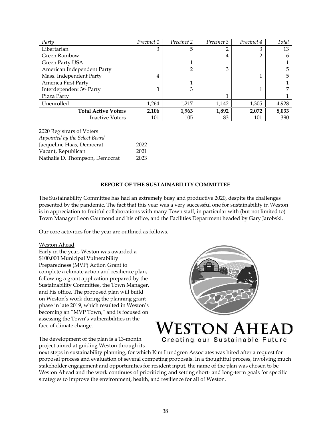| Party                      | Precinct 1 | Precinct 2 | Precinct 3 | Precinct 4 | Total |
|----------------------------|------------|------------|------------|------------|-------|
| Libertarian                | 3          |            |            | З          | 13    |
| Green Rainbow              |            |            | 4          |            |       |
| Green Party USA            |            |            |            |            |       |
| American Independent Party |            |            | 3          |            |       |
| Mass. Independent Party    | 4          |            |            |            |       |
| America First Party        |            |            |            |            |       |
| Interdependent 3rd Party   | 3          | 3          |            |            |       |
| Pizza Party                |            |            |            |            |       |
| Unenrolled                 | 1,264      | 1,217      | 1,142      | 1,305      | 4,928 |
| <b>Total Active Voters</b> | 2,106      | 1,963      | 1,892      | 2,072      | 8,033 |
| <b>Inactive Voters</b>     | 101        | 105        | 83         | 101        | 390   |

2020 Registrars of Voters *Appointed by the Select Board* Jacqueline Haas, Democrat 2022 Vacant, Republican 2021 Nathalie D. Thompson, Democrat 2023

### **REPORT OF THE SUSTAINABILITY COMMITTEE**

The Sustainability Committee has had an extremely busy and productive 2020, despite the challenges presented by the pandemic. The fact that this year was a very successful one for sustainability in Weston is in appreciation to fruitful collaborations with many Town staff, in particular with (but not limited to) Town Manager Leon Gaumond and his office, and the Facilities Department headed by Gary Jarobski.

Our core activities for the year are outlined as follows.

#### Weston Ahead

Early in the year, Weston was awarded a \$100,000 Municipal Vulnerability Preparedness (MVP) Action Grant to complete a climate action and resilience plan, following a grant application prepared by the Sustainability Committee, the Town Manager, and his office. The proposed plan will build on Weston's work during the planning grant phase in late 2019, which resulted in Weston's becoming an "MVP Town," and is focused on assessing the Town's vulnerabilities in the face of climate change.



ESTON A Creating our Sustainable Future

The development of the plan is a 13-month project aimed at guiding Weston through its

next steps in sustainability planning, for which Kim Lundgren Associates was hired after a request for proposal process and evaluation of several competing proposals. In a thoughtful process, involving much stakeholder engagement and opportunities for resident input, the name of the plan was chosen to be Weston Ahead and the work continues of prioritizing and setting short- and long-term goals for specific strategies to improve the environment, health, and resilience for all of Weston.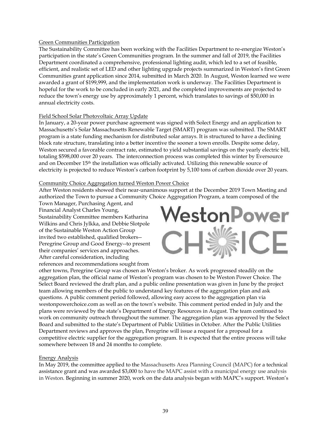#### Green Communities Participation

The Sustainability Committee has been working with the Facilities Department to re-energize Weston's participation in the state's Green Communities program. In the summer and fall of 2019, the Facilities Department coordinated a comprehensive, professional lighting audit, which led to a set of feasible, efficient, and realistic set of LED and other lighting upgrade projects summarized in Weston's first Green Communities grant application since 2014, submitted in March 2020. In August, Weston learned we were awarded a grant of \$199,999, and the implementation work is underway. The Facilities Department is hopeful for the work to be concluded in early 2021, and the completed improvements are projected to reduce the town's energy use by approximately 1 percent, which translates to savings of \$50,000 in annual electricity costs.

## Field School Solar Photovoltaic Array Update

In January, a 20-year power purchase agreement was signed with Solect Energy and an application to Massachusetts's Solar Massachusetts Renewable Target (SMART) program was submitted. The SMART program is a state funding mechanism for distributed solar arrays. It is structured to have a declining block rate structure, translating into a better incentive the sooner a town enrolls. Despite some delay, Weston secured a favorable contract rate, estimated to yield substantial savings on the yearly electric bill, totaling \$598,000 over 20 years. The interconnection process was completed this winter by Eversource and on December 15<sup>th</sup> the installation was officially activated. Utilizing this renewable source of electricity is projected to reduce Weston's carbon footprint by 5,100 tons of carbon dioxide over 20 years.

### Community Choice Aggregation turned Weston Power Choice

After Weston residents showed their near-unanimous support at the December 2019 Town Meeting and authorized the Town to pursue a Community Choice Aggregation Program, a team composed of the

Town Manager, Purchasing Agent, and Financial Analyst Charles Young, Sustainability Committee members Katharina Wilkins and Chris Jylkka, and Debbie Slotpole of the Sustainable Weston Action Group invited two established, qualified brokers-- Peregrine Group and Good Energy--to present their companies' services and approaches. After careful consideration, including references and recommendations sought from



other towns, Peregrine Group was chosen as Weston's broker. As work progressed steadily on the aggregation plan, the official name of Weston's program was chosen to be Weston Power Choice. The Select Board reviewed the draft plan, and a public online presentation was given in June by the project team allowing members of the public to understand key features of the aggregation plan and ask questions. A public comment period followed, allowing easy access to the aggregation plan via westonpowerchoice.com as well as on the town's website. This comment period ended in July and the plans were reviewed by the state's Department of Energy Resources in August. The team continued to work on community outreach throughout the summer. The aggregation plan was approved by the Select Board and submitted to the state's Department of Public Utilities in October. After the Public Utilities Department reviews and approves the plan, Peregrine will issue a request for a proposal for a competitive electric supplier for the aggregation program. It is expected that the entire process will take somewhere between 18 and 24 months to complete.

#### Energy Analysis

In May 2019, the committee applied to the Massachusetts Area Planning Council (MAPC) for a technical assistance grant and was awarded \$3,000 to have the MAPC assist with a municipal energy use analysis in Weston. Beginning in summer 2020, work on the data analysis began with MAPC's support. Weston's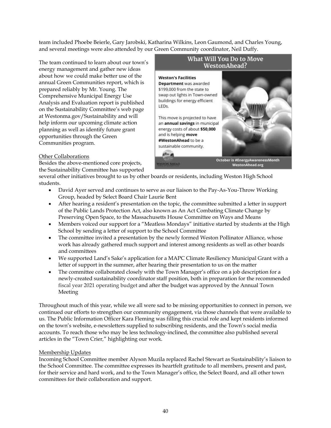team included Phoebe Beierle, Gary Jarobski, Katharina Wilkins, Leon Gaumond, and Charles Young, and several meetings were also attended by our Green Community coordinator, Neil Duffy.

The team continued to learn about our town's energy management and gather new ideas about how we could make better use of the annual Green Communities report, which is prepared reliably by Mr. Young. The Comprehensive Municipal Energy Use Analysis and Evaluation report is published on the Sustainability Committee's web page at Westonma.gov/Sustainability and will help inform our upcoming climate action planning as well as identify future grant opportunities through the Green Communities program.



# Other Collaborations

Besides the above-mentioned core projects, the Sustainability Committee has supported

several other initiatives brought to us by other boards or residents, including Weston High School students.

- David Ayer served and continues to serve as our liaison to the Pay-As-You-Throw Working Group, headed by Select Board Chair Laurie Bent
- After hearing a resident's presentation on the topic, the committee submitted a letter in support of the Public Lands Protection Act, also known as An Act Combating Climate Change by Preserving Open Space, to the Massachusetts House Committee on Ways and Means
- Members voiced our support for a "Meatless Mondays" initiative started by students at the High School by sending a letter of support to the School Committee
- The committee invited a presentation by the newly formed Weston Pollinator Alliance, whose work has already gathered much support and interest among residents as well as other boards and committees
- We supported Land's Sake's application for a MAPC Climate Resiliency Municipal Grant with a letter of support in the summer, after hearing their presentation to us on the matter
- The committee collaborated closely with the Town Manager's office on a job description for a newly-created sustainability coordinator staff position, both in preparation for the recommended fiscal year 2021 operating budget and after the budget was approved by the Annual Town Meeting

Throughout much of this year, while we all were sad to be missing opportunities to connect in person, we continued our efforts to strengthen our community engagement, via those channels that were available to us. The Public Information Officer Kara Fleming was filling this crucial role and kept residents informed on the town's website, e-newsletters supplied to subscribing residents, and the Town's social media accounts. To reach those who may be less technology-inclined, the committee also published several articles in the "Town Crier*,*" highlighting our work.

# Membership Updates

Incoming School Committee member Alyson Muzila replaced Rachel Stewart as Sustainability's liaison to the School Committee. The committee expresses its heartfelt gratitude to all members, present and past, for their service and hard work, and to the Town Manager's office, the Select Board, and all other town committees for their collaboration and support.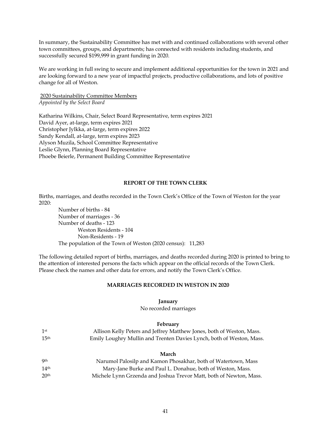In summary, the Sustainability Committee has met with and continued collaborations with several other town committees, groups, and departments; has connected with residents including students, and successfully secured \$199,999 in grant funding in 2020.

We are working in full swing to secure and implement additional opportunities for the town in 2021 and are looking forward to a new year of impactful projects, productive collaborations, and lots of positive change for all of Weston.

2020 Sustainability Committee Members *Appointed by the Select Board*

Katharina Wilkins, Chair, Select Board Representative, term expires 2021 David Ayer, at-large, term expires 2021 Christopher Jylkka, at-large, term expires 2022 Sandy Kendall, at-large, term expires 2023 Alyson Muzila, School Committee Representative Leslie Glynn, Planning Board Representative Phoebe Beierle, Permanent Building Committee Representative

#### **REPORT OF THE TOWN CLERK**

Births, marriages, and deaths recorded in the Town Clerk's Office of the Town of Weston for the year 2020:

Number of births - 84 Number of marriages - 36 Number of deaths - 123 Weston Residents - 104 Non-Residents - 19 The population of the Town of Weston (2020 census): 11,283

The following detailed report of births, marriages, and deaths recorded during 2020 is printed to bring to the attention of interested persons the facts which appear on the official records of the Town Clerk. Please check the names and other data for errors, and notify the Town Clerk's Office.

### **MARRIAGES RECORDED IN WESTON IN 2020**

#### **January**

No recorded marriages

#### **February**

| 1st              | Allison Kelly Peters and Jeffrey Matthew Jones, both of Weston, Mass. |
|------------------|-----------------------------------------------------------------------|
| 15 <sup>th</sup> | Emily Loughry Mullin and Trenten Davies Lynch, both of Weston, Mass.  |
|                  |                                                                       |

## **March**

| <b>9th</b>       | Narumol Palosilp and Kamon Phosakhar, both of Watertown, Mass      |
|------------------|--------------------------------------------------------------------|
| 14 <sup>th</sup> | Mary-Jane Burke and Paul L. Donahue, both of Weston, Mass.         |
| 20 <sup>th</sup> | Michele Lynn Grzenda and Joshua Trevor Matt, both of Newton, Mass. |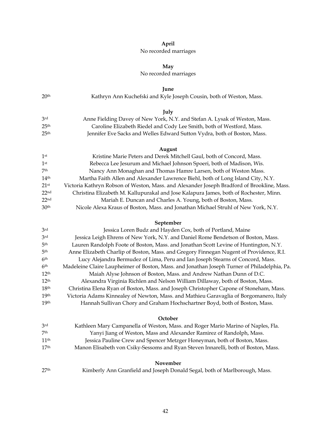## **April**

# No recorded marriages

# **May**

# No recorded marriages

**June**

|                  | Tunc                                                                                         |
|------------------|----------------------------------------------------------------------------------------------|
| 20 <sup>th</sup> | Kathryn Ann Kuchefski and Kyle Joseph Cousin, both of Weston, Mass.                          |
|                  | July                                                                                         |
| 3rd              | Anne Fielding Davey of New York, N.Y. and Stefan A. Lysak of Weston, Mass.                   |
| 25 <sup>th</sup> | Caroline Elizabeth Riedel and Cody Lee Smith, both of Westford, Mass.                        |
| 25 <sup>th</sup> | Jennifer Eve Sacks and Welles Edward Sutton Vydra, both of Boston, Mass.                     |
|                  | August                                                                                       |
| 1 <sup>st</sup>  | Kristine Marie Peters and Derek Mitchell Gaul, both of Concord, Mass.                        |
| 1 <sup>st</sup>  | Rebecca Lee Jesurum and Michael Johnson Spoeri, both of Madison, Wis.                        |
| 7 <sup>th</sup>  | Nancy Ann Monaghan and Thomas Hamre Larsen, both of Weston Mass.                             |
| 14 <sup>th</sup> | Martha Faith Allen and Alexander Lawrence Biehl, both of Long Island City, N.Y.              |
| 21 <sup>st</sup> | Victoria Kathryn Robson of Weston, Mass. and Alexander Joseph Bradford of Brookline, Mass.   |
| 22 <sup>nd</sup> | Christina Elizabeth M. Kallupurakal and Jose Kalapura James, both of Rochester, Minn.        |
| 22 <sub>nd</sub> | Mariah E. Duncan and Charles A. Young, both of Boston, Mass.                                 |
| 30 <sup>th</sup> | Nicole Alexa Kraus of Boston, Mass. and Jonathan Michael Struhl of New York, N.Y.            |
|                  | September                                                                                    |
| 3rd              | Jessica Loren Budz and Hayden Cox, both of Portland, Maine                                   |
| 3rd              | Jessica Leigh Ehrens of New York, N.Y. and Daniel Rome Bendetson of Boston, Mass.            |
| 5 <sup>th</sup>  | Lauren Randolph Foote of Boston, Mass. and Jonathan Scott Levine of Huntington, N.Y.         |
| 5 <sup>th</sup>  | Anne Elizabeth Charlip of Boston, Mass. and Gregory Finnegan Nugent of Providence, R.I.      |
| 6 <sup>th</sup>  | Lucy Alejandra Bermudez of Lima, Peru and Ian Joseph Stearns of Concord, Mass.               |
| 6 <sup>th</sup>  | Madeleine Claire Laupheimer of Boston, Mass. and Jonathan Joseph Turner of Philadelphia, Pa. |
| 12 <sup>th</sup> | Maiah Alyse Johnson of Boston, Mass, and Andrew Nathan Dunn of D.C.                          |

| $L^{\text{m}}$   | Malah Alyse Johnson of Doston, Mass. and Andrew Nathan Dunn of D.C.                    |
|------------------|----------------------------------------------------------------------------------------|
| 12 <sup>th</sup> | Alexandra Virginia Richlen and Nelson William Dillaway, both of Boston, Mass.          |
| 18 <sup>th</sup> | Christina Elena Ryan of Boston, Mass. and Joseph Christopher Capone of Stoneham, Mass. |
| 19 <sup>th</sup> | Victoria Adams Kinnealey of Newton, Mass. and Mathieu Garavaglia of Borgomanero, Italy |
| 19 <sup>th</sup> | Hannah Sullivan Chory and Graham Hochschartner Boyd, both of Boston, Mass.             |

#### **October**

| 3rd              | Kathleen Mary Campanella of Weston, Mass. and Roger Mario Marino of Naples, Fla.   |
|------------------|------------------------------------------------------------------------------------|
| 7th              | Yanyi Jiang of Weston, Mass and Alexander Ramirez of Randolph, Mass.               |
| 11 <sup>th</sup> | Jessica Pauline Crew and Spencer Metzger Honeyman, both of Boston, Mass.           |
| 17 <sup>th</sup> | Manon Elisabeth von Csiky-Sessoms and Ryan Steven Innarelli, both of Boston, Mass. |

### **November**

27<sup>th</sup> Kimberly Ann Granfield and Joseph Donald Segal, both of Marlborough, Mass.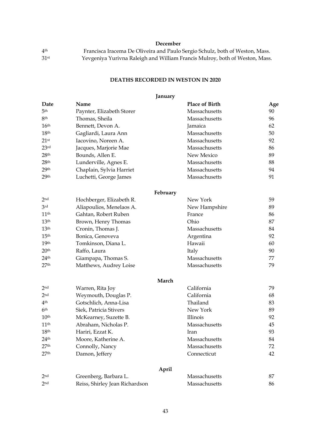# **December**

| 4th  | Francisca Iracema De Oliveira and Paulo Sergio Schulz, both of Weston, Mass. |
|------|------------------------------------------------------------------------------|
| 31st | Yevgeniya Yurivna Raleigh and William Francis Mulroy, both of Weston, Mass.  |

# **DEATHS RECORDED IN WESTON IN 2020**

# **January**

| Date             | Name                           | <b>Place of Birth</b> | Age |
|------------------|--------------------------------|-----------------------|-----|
| 5 <sup>th</sup>  | Paynter, Elizabeth Storer      | Massachusetts         | 90  |
| 8 <sup>th</sup>  | Thomas, Sheila                 | Massachusetts         | 96  |
| 16 <sup>th</sup> | Bennett, Devon A.              | Jamaica               | 62  |
| 18 <sup>th</sup> | Gagliardi, Laura Ann           | Massachusetts         | 50  |
| 21 <sup>st</sup> | Iacovino, Noreen A.            | Massachusetts         | 92  |
| 23rd             | Jacques, Marjorie Mae          | Massachusetts         | 86  |
| 28 <sup>th</sup> | Bounds, Allen E.               | New Mexico            | 89  |
| 28 <sup>th</sup> | Lunderville, Agnes E.          | Massachusetts         | 88  |
| 29 <sup>th</sup> | Chaplain, Sylvia Harriet       | Massachusetts         | 94  |
| 29 <sup>th</sup> | Luchetti, George James         | Massachusetts         | 91  |
|                  | February                       |                       |     |
| 2 <sup>nd</sup>  | Hochberger, Elizabeth R.       | New York              | 59  |
| 3 <sup>rd</sup>  | Aliapoulios, Menelaos A.       | New Hampshire         | 89  |
| 11 <sup>th</sup> | Gahtan, Robert Ruben           | France                | 86  |
| 13 <sup>th</sup> | Brown, Henry Thomas            | Ohio                  | 87  |
| 13 <sup>th</sup> | Cronin, Thomas J.              | Massachusetts         | 84  |
| 15 <sup>th</sup> | Bonica, Genoveva               | Argentina             | 92  |
| 19 <sup>th</sup> | Tomkinson, Diana L.            | Hawaii                | 60  |
| 20 <sup>th</sup> | Raffo, Laura                   | Italy                 | 90  |
| 24 <sup>th</sup> | Giampapa, Thomas S.            | Massachusetts         | 77  |
| 27 <sup>th</sup> | Matthews, Audrey Loise         | Massachusetts         | 79  |
|                  | March                          |                       |     |
| 2 <sub>nd</sub>  | Warren, Rita Joy               | California            | 79  |
| 2 <sub>nd</sub>  | Weymouth, Douglas P.           | California            | 68  |
| 4 <sup>th</sup>  | Gotschlich, Anna-Lisa          | Thailand              | 83  |
| 6 <sup>th</sup>  | Siek, Patricia Stivers         | New York              | 89  |
| 10 <sup>th</sup> | McKearney, Suzette B.          | Illinois              | 92  |
| 11 <sup>th</sup> | Abraham, Nicholas P.           | Massachusetts         | 45  |
| 18 <sup>th</sup> | Hariri, Ezzat K.               | Iran                  | 93  |
| 24 <sup>th</sup> | Moore, Katherine A.            | Massachusetts         | 84  |
| 27 <sup>th</sup> | Connolly, Nancy                | Massachusetts         | 72  |
| 27 <sup>th</sup> | Damon, Jeffery                 | Connecticut           | 42  |
|                  | April                          |                       |     |
| 2 <sub>nd</sub>  | Greenberg, Barbara L.          | Massachusetts         | 87  |
| 2 <sub>nd</sub>  | Reiss, Shirley Jean Richardson | Massachusetts         | 86  |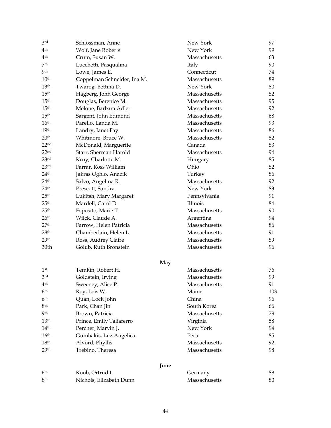| 3rd              | Schlossman, Anne            | New York      | 97  |
|------------------|-----------------------------|---------------|-----|
| 4 <sup>th</sup>  | Wolf, Jane Roberts          | New York      | 99  |
| 4 <sup>th</sup>  | Crum, Susan W.              | Massachusetts | 63  |
| 7 <sup>th</sup>  | Lucchetti, Pasqualina       | Italy         | 90  |
| <b>9th</b>       | Lowe, James E.              | Connecticut   | 74  |
| 10 <sup>th</sup> | Coppelman Schneider, Ina M. | Massachusetts | 89  |
| 13 <sup>th</sup> | Twarog, Bettina D.          | New York      | 80  |
| 15 <sup>th</sup> | Hagberg, John George        | Massachusetts | 82  |
| 15 <sup>th</sup> | Douglas, Berenice M.        | Massachusetts | 95  |
| 15 <sup>th</sup> | Melone, Barbara Adler       | Massachusetts | 92  |
| 15 <sup>th</sup> | Sargent, John Edmond        | Massachusetts | 68  |
| 16 <sup>th</sup> | Parello, Landa M.           | Massachusetts | 93  |
| 19 <sup>th</sup> | Landry, Janet Fay           | Massachusetts | 86  |
| 20 <sup>th</sup> | Whitmore, Bruce W.          | Massachusetts | 82  |
| 22 <sub>nd</sub> | McDonald, Marguerite        | Canada        | 83  |
| 22 <sub>nd</sub> | Starr, Sherman Harold       | Massachusetts | 94  |
| 23 <sup>rd</sup> | Kruy, Charlotte M.          | Hungary       | 85  |
| 23 <sup>rd</sup> | Farrar, Ross William        | Ohio          | 82  |
| 24 <sup>th</sup> | Jakras Oghlo, Anazik        | Turkey        | 86  |
| 24 <sup>th</sup> | Salvo, Angelina R.          | Massachusetts | 92  |
| 24 <sup>th</sup> | Prescott, Sandra            | New York      | 83  |
| 25 <sup>th</sup> | Lukitsh, Mary Margaret      | Pennsylvania  | 91  |
| 25 <sup>th</sup> | Mardell, Carol D.           | Illinois      | 84  |
| 25 <sup>th</sup> | Esposito, Marie T.          | Massachusetts | 90  |
| 26 <sup>th</sup> | Wilck, Claude A.            | Argentina     | 94  |
| 27 <sup>th</sup> | Farrow, Helen Patricia      | Massachusetts | 86  |
| 28 <sup>th</sup> | Chamberlain, Helen L.       | Massachusetts | 91  |
| 29 <sup>th</sup> | Ross, Audrey Claire         | Massachusetts | 89  |
| 30th             | Golub, Ruth Bronstein       | Massachusetts | 96  |
|                  | May                         |               |     |
| 1 <sup>st</sup>  | Temkin, Robert H.           | Massachusetts | 76  |
| 3rd              | Goldstein, Irving           | Massachusetts | 99  |
| 4 <sup>th</sup>  | Sweeney, Alice P.           | Massachusetts | 91  |
| 6 <sup>th</sup>  | Roy, Lois W.                | Maine         | 103 |
| 6 <sup>th</sup>  | Quan, Lock John             | China         | 96  |
| 8th              | Park, Chan Jin              | South Korea   | 66  |
| <b>9th</b>       | Brown, Patricia             | Massachusetts | 79  |
| 13 <sup>th</sup> | Prince, Emily Taliaferro    | Virginia      | 58  |
| 14 <sup>th</sup> | Percher, Marvin J.          | New York      | 94  |
| 16 <sup>th</sup> | Gumbakis, Luz Angelica      | Peru          | 85  |
| 18 <sup>th</sup> | Alvord, Phyllis             | Massachusetts | 92  |
| 29 <sup>th</sup> | Trebino, Theresa            | Massachusetts | 98  |
|                  | June                        |               |     |
| 6 <sup>th</sup>  | Koob, Ortrud I.             | Germany       | 88  |
| 8th              | Nichols, Elizabeth Dunn     | Massachusetts | 80  |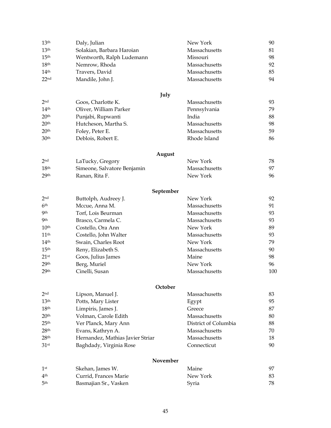| 13 <sup>th</sup>                     | Daly, Julian                                 | New York                       | 90       |
|--------------------------------------|----------------------------------------------|--------------------------------|----------|
| 13 <sup>th</sup>                     | Solakian, Barbara Haroian                    | Massachusetts                  | 81       |
| 15 <sup>th</sup>                     | Wentworth, Ralph Ludemann                    | Missouri                       | 98       |
| 18 <sup>th</sup>                     | Nemrow, Rhoda                                | Massachusetts                  | 92       |
| 14 <sup>th</sup>                     | Travers, David                               | Massachusetts                  | 85       |
| 22 <sub>nd</sub>                     | Mandile, John J.                             | Massachusetts                  | 94       |
|                                      |                                              |                                |          |
|                                      | July                                         |                                |          |
| 2 <sub>nd</sub>                      | Goos, Charlotte K.                           | Massachusetts                  | 93       |
| 14 <sup>th</sup>                     | Oliver, William Parker                       | Pennsylvania                   | 79       |
| 20 <sup>th</sup>                     | Punjabi, Rupwanti                            | India                          | 88       |
| 20 <sup>th</sup>                     | Hutcheson, Martha S.                         | Massachusetts                  | 98       |
| 20 <sup>th</sup>                     | Foley, Peter E.                              | Massachusetts                  | 59       |
| 30 <sup>th</sup>                     | Deblois, Robert E.                           | Rhode Island                   | 86       |
|                                      | August                                       |                                |          |
| 2 <sub>nd</sub>                      | LaTucky, Gregory                             | New York                       | 78       |
| 18 <sup>th</sup>                     | Simeone, Salvatore Benjamin                  | Massachusetts                  | 97       |
| 29 <sup>th</sup>                     | Ranan, Rita F.                               | New York                       | 96       |
|                                      |                                              |                                |          |
|                                      | September                                    |                                |          |
| 2 <sub>nd</sub>                      | Buttolph, Audreey J.                         | New York                       | 92       |
| 6 <sup>th</sup><br><b>9</b> th       | Mccue, Anna M.                               | Massachusetts                  | 91       |
| <b>9</b> th                          | Torf, Lois Beurman                           | Massachusetts<br>Massachusetts | 93       |
| 10 <sup>th</sup>                     | Brasco, Carmela C.                           | New York                       | 93<br>89 |
|                                      | Costello, Ora Ann                            | Massachusetts                  |          |
| 11 <sup>th</sup><br>14 <sup>th</sup> | Costello, John Walter<br>Swain, Charles Root | New York                       | 93<br>79 |
| 15 <sup>th</sup>                     |                                              | Massachusetts                  | 90       |
| $21$ <sup>st</sup>                   | Reny, Elizabeth S.                           | Maine                          | 98       |
| 29 <sup>th</sup>                     | Goos, Julius James<br>Berg, Muriel           | New York                       | 96       |
| 29 <sup>th</sup>                     | Cinelli, Susan                               | Massachusetts                  | 100      |
|                                      |                                              |                                |          |
|                                      | October                                      |                                |          |
| 2 <sub>nd</sub>                      | Lipson, Manuel J.                            | Massachusetts                  | 83       |
| 13 <sup>th</sup>                     | Potts, Mary Lister                           | Egypt                          | 95       |
| 18 <sup>th</sup>                     | Limpiris, James J.                           | Greece                         | 87       |
| 20 <sup>th</sup>                     | Volman, Carole Edith                         | Massachusetts                  | 80       |
| 25 <sup>th</sup>                     | Ver Planck, Mary Ann                         | District of Columbia           | 88       |
| 28 <sup>th</sup>                     | Evans, Kathryn A.                            | Massachusetts                  | 70       |
| 28 <sup>th</sup>                     | Hernandez, Mathias Javier Striar             | Massachusetts                  | 18       |
| 31 <sup>st</sup>                     | Baghdady, Virginia Rose                      | Connecticut                    | 90       |
|                                      | November                                     |                                |          |
| 1 <sup>st</sup>                      | Skehan, James W.                             | Maine                          | 97       |
| 4 <sup>th</sup>                      | Currid, Frances Marie                        | New York                       | 83       |
| 5 <sup>th</sup>                      | Basmajian Sr., Vasken                        | Syria                          | 78       |
|                                      |                                              |                                |          |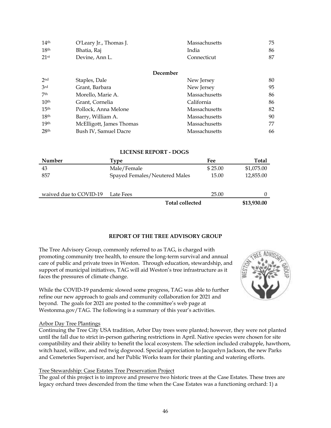| 14 <sup>th</sup> | O'Leary Jr., Thomas J.   | Massachusetts | 75 |
|------------------|--------------------------|---------------|----|
| 18 <sup>th</sup> | Bhatia, Raj              | India         | 86 |
| 21st             | Devine, Ann L.           | Connecticut   | 87 |
|                  |                          |               |    |
|                  | December                 |               |    |
| 2nd              | Staples, Dale            | New Jersey    | 80 |
| 3rd              | Grant, Barbara           | New Jersey    | 95 |
| 7 <sup>th</sup>  | Morello, Marie A.        | Massachusetts | 86 |
| 10 <sup>th</sup> | Grant, Cornelia          | California    | 86 |
| 15 <sup>th</sup> | Pollock, Anna Melone     | Massachusetts | 82 |
| 18 <sup>th</sup> | Barry, William A.        | Massachusetts | 90 |
| 19 <sup>th</sup> | McElligott, James Thomas | Massachusetts | 77 |
| 28 <sup>th</sup> | Bush IV, Samuel Dacre    | Massachusetts | 66 |

#### **LICENSE REPORT - DOGS**

| <b>Number</b>          | Type                          | Fee     | <b>Total</b> |
|------------------------|-------------------------------|---------|--------------|
| 43                     | Male/Female                   | \$25.00 | \$1,075.00   |
| 857                    | Spayed Females/Neutered Males | 15.00   | 12,855.00    |
|                        |                               |         |              |
| waived due to COVID-19 | Late Fees                     | 25.00   |              |
|                        | <b>Total collected</b>        |         | \$13,930.00  |

# **REPORT OF THE TREE ADVISORY GROUP**

The Tree Advisory Group, commonly referred to as TAG, is charged with promoting community tree health, to ensure the long-term survival and annual care of public and private trees in Weston. Through education, stewardship, and support of municipal initiatives, TAG will aid Weston's tree infrastructure as it faces the pressures of climate change.

While the COVID-19 pandemic slowed some progress, TAG was able to further refine our new approach to goals and community collaboration for 2021 and beyond. The goals for 2021 are posted to the committee's web page at Westonma.gov/TAG. The following is a summary of this year's activities.

#### Arbor Day Tree Plantings

Continuing the Tree City USA tradition, Arbor Day trees were planted; however, they were not planted until the fall due to strict in-person gathering restrictions in April. Native species were chosen for site compatibility and their ability to benefit the local ecosystem. The selection included crabapple, hawthorn, witch hazel, willow, and red twig dogwood. Special appreciation to Jacquelyn Jackson, the new Parks and Cemeteries Supervisor, and her Public Works team for their planting and watering efforts.

#### Tree Stewardship: Case Estates Tree Preservation Project

The goal of this project is to improve and preserve two historic trees at the Case Estates. These trees are legacy orchard trees descended from the time when the Case Estates was a functioning orchard: 1) a

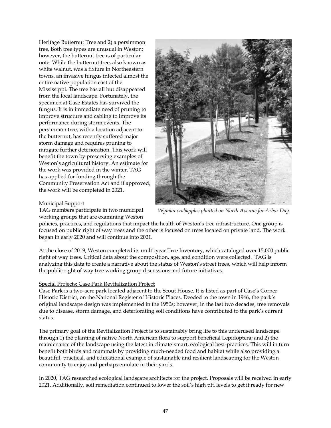Heritage Butternut Tree and 2) a persimmon tree. Both tree types are unusual in Weston; however, the butternut tree is of particular note. While the butternut tree, also known as white walnut, was a fixture in Northeastern towns, an invasive fungus infected almost the entire native population east of the Mississippi. The tree has all but disappeared from the local landscape. Fortunately, the specimen at Case Estates has survived the fungus. It is in immediate need of pruning to improve structure and cabling to improve its performance during storm events. The persimmon tree, with a location adjacent to the butternut, has recently suffered major storm damage and requires pruning to mitigate further deterioration. This work will benefit the town by preserving examples of Weston's agricultural history. An estimate for the work was provided in the winter. TAG has applied for funding through the Community Preservation Act and if approved, the work will be completed in 2021.



### Municipal Support

TAG members participate in two municipal working groups that are examining Weston

*Wyman crabapples planted on North Avenue for Arbor Day*

policies, practices, and regulations that impact the health of Weston's tree infrastructure. One group is focused on public right of way trees and the other is focused on trees located on private land. The work began in early 2020 and will continue into 2021.

At the close of 2019, Weston completed its multi-year Tree Inventory, which cataloged over 15,000 public right of way trees. Critical data about the composition, age, and condition were collected. TAG is analyzing this data to create a narrative about the status of Weston's street trees, which will help inform the public right of way tree working group discussions and future initiatives.

# Special Projects: Case Park Revitalization Project

Case Park is a two-acre park located adjacent to the Scout House. It is listed as part of Case's Corner Historic District, on the National Register of Historic Places. Deeded to the town in 1946, the park's original landscape design was implemented in the 1950s; however, in the last two decades, tree removals due to disease, storm damage, and deteriorating soil conditions have contributed to the park's current status.

The primary goal of the Revitalization Project is to sustainably bring life to this underused landscape through 1) the planting of native North American flora to support beneficial Lepidoptera; and 2) the maintenance of the landscape using the latest in climate-smart, ecological best-practices. This will in turn benefit both birds and mammals by providing much-needed food and habitat while also providing a beautiful, practical, and educational example of sustainable and resilient landscaping for the Weston community to enjoy and perhaps emulate in their yards.

In 2020, TAG researched ecological landscape architects for the project. Proposals will be received in early 2021. Additionally, soil remediation continued to lower the soil's high pH levels to get it ready for new